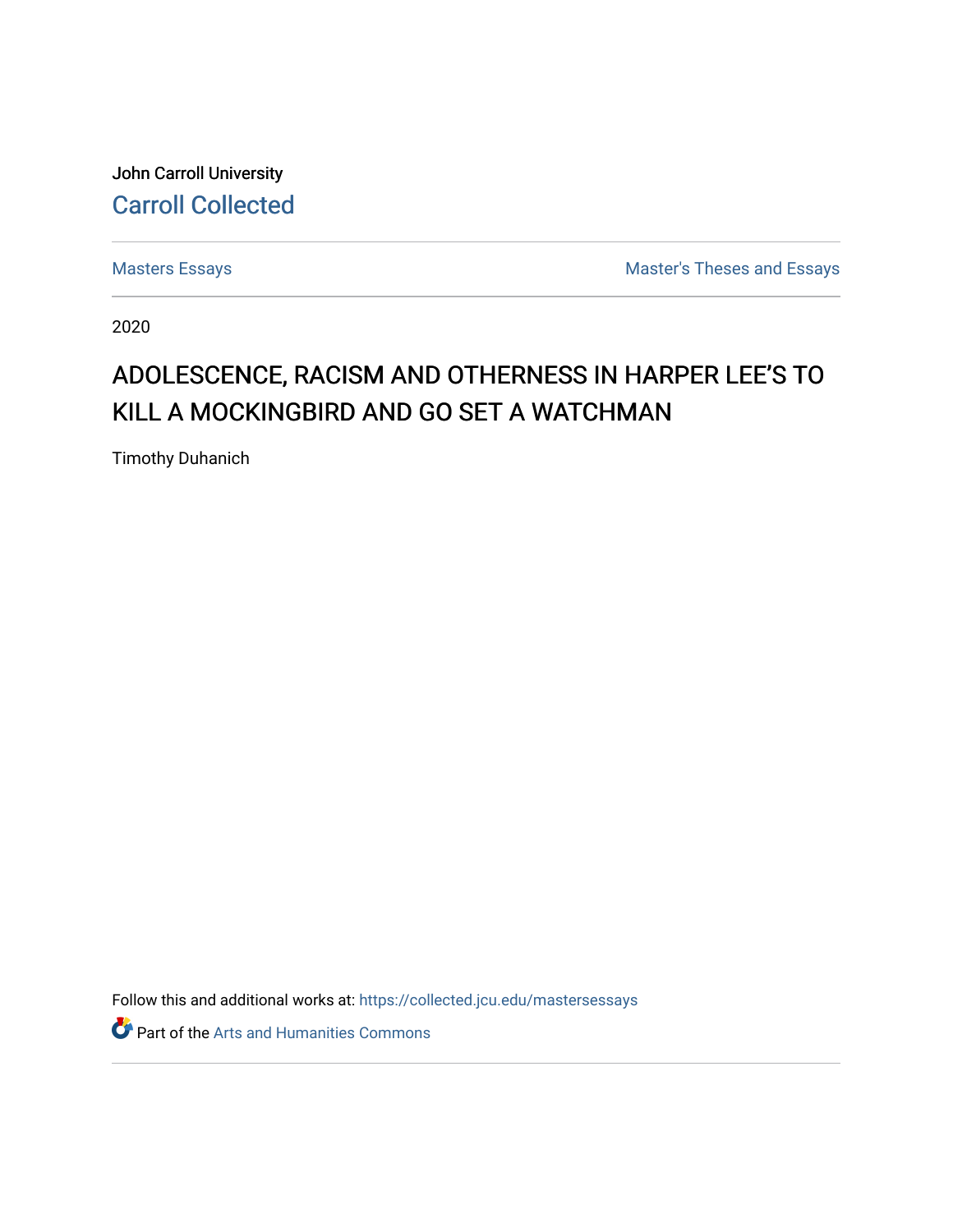John Carroll University [Carroll Collected](https://collected.jcu.edu/) 

[Masters Essays](https://collected.jcu.edu/mastersessays) [Master's Theses and Essays](https://collected.jcu.edu/thesesandessays) 

2020

# ADOLESCENCE, RACISM AND OTHERNESS IN HARPER LEE'S TO KILL A MOCKINGBIRD AND GO SET A WATCHMAN

Timothy Duhanich

Follow this and additional works at: [https://collected.jcu.edu/mastersessays](https://collected.jcu.edu/mastersessays?utm_source=collected.jcu.edu%2Fmastersessays%2F138&utm_medium=PDF&utm_campaign=PDFCoverPages)

Part of the [Arts and Humanities Commons](http://network.bepress.com/hgg/discipline/438?utm_source=collected.jcu.edu%2Fmastersessays%2F138&utm_medium=PDF&utm_campaign=PDFCoverPages)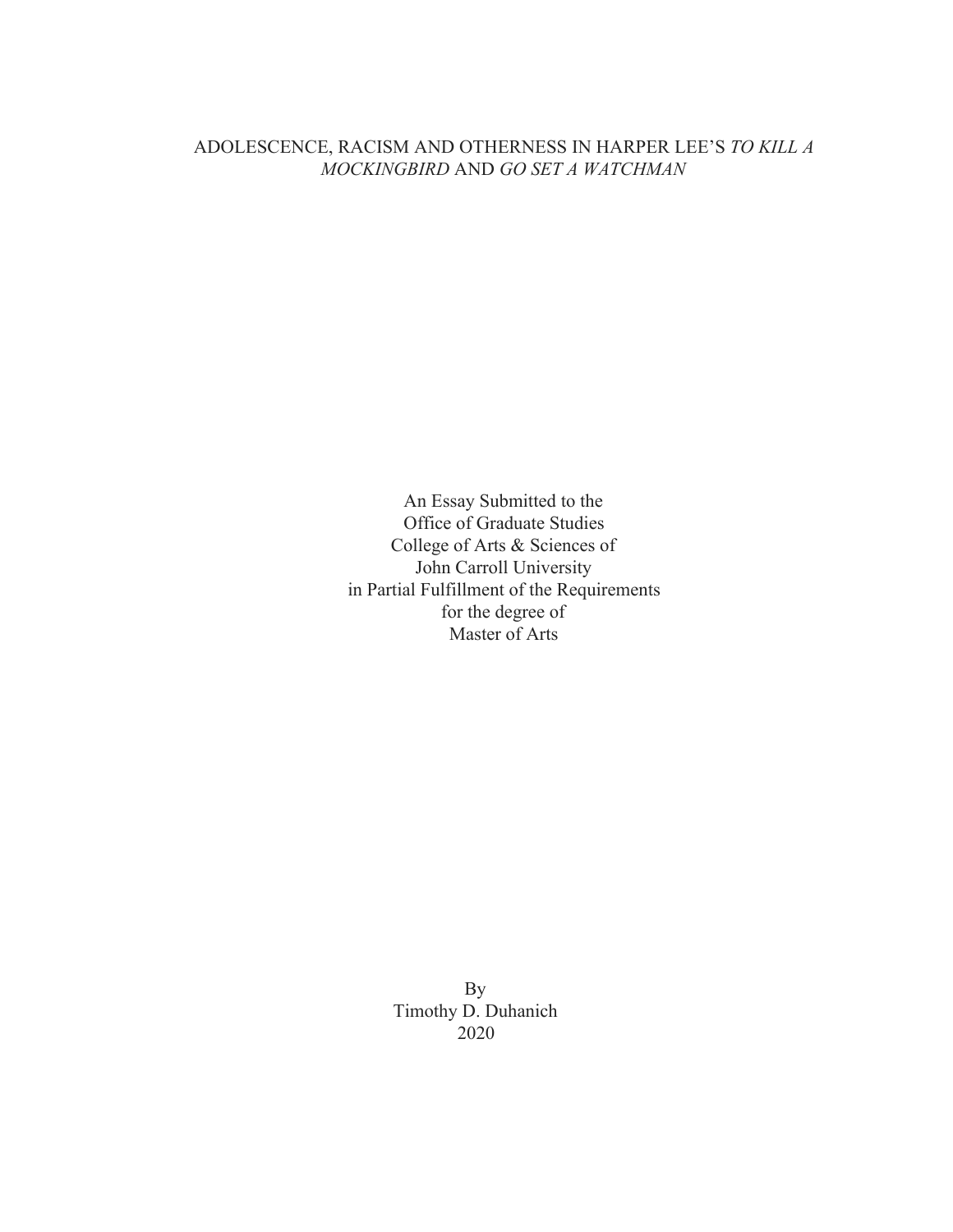### ADOLESCENCE, RACISM AND OTHERNESS IN HARPER LEE'S *TO KILL A MOCKINGBIRD* AND *GO SET A WATCHMAN*

An Essay Submitted to the Office of Graduate Studies College of Arts & Sciences of John Carroll University in Partial Fulfillment of the Requirements for the degree of Master of Arts

> By Timothy D. Duhanich 2020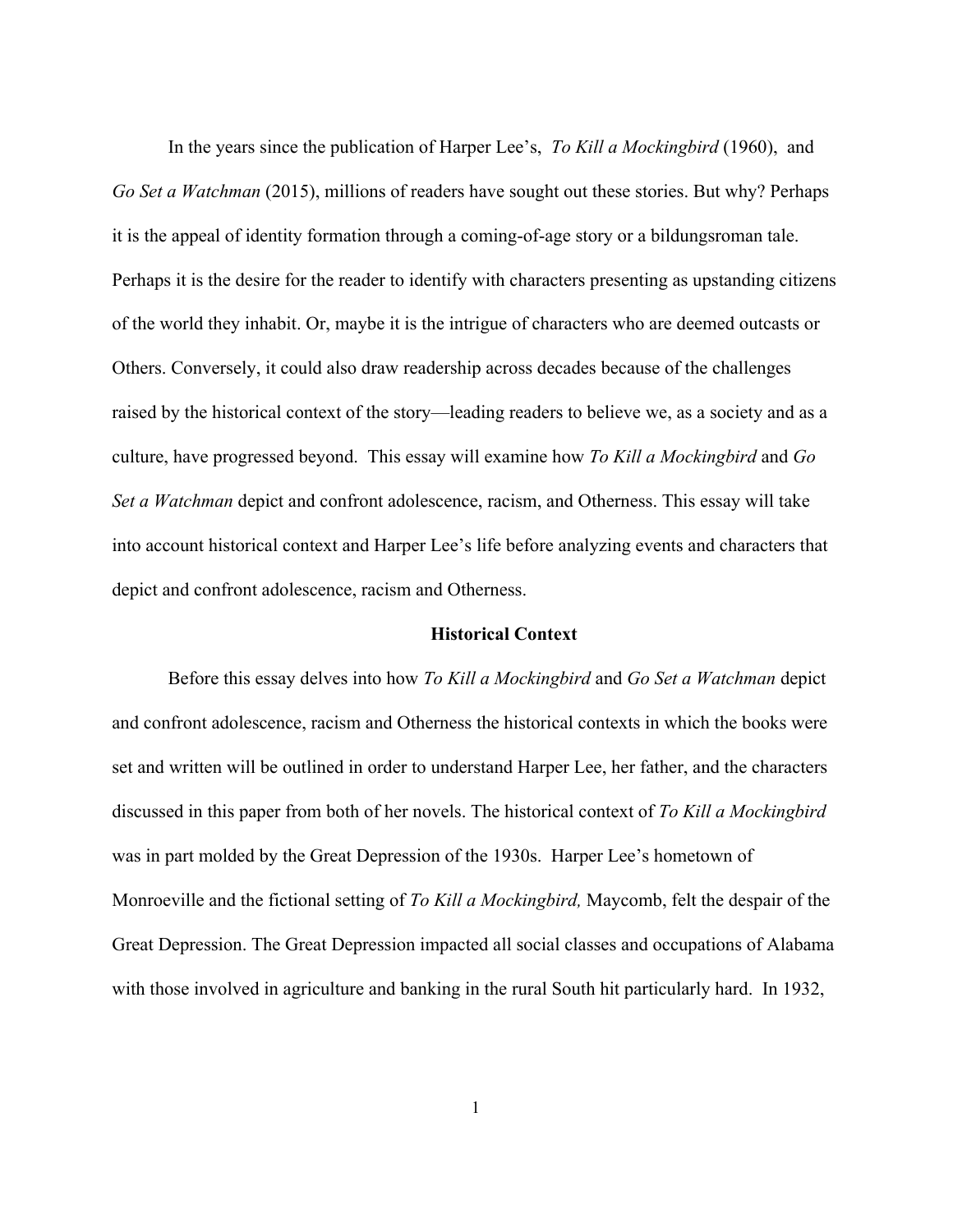In the years since the publication of Harper Lee's, *To Kill a Mockingbird* (1960), and *Go Set a Watchman* (2015), millions of readers have sought out these stories. But why? Perhaps it is the appeal of identity formation through a coming-of-age story or a bildungsroman tale. Perhaps it is the desire for the reader to identify with characters presenting as upstanding citizens of the world they inhabit. Or, maybe it is the intrigue of characters who are deemed outcasts or Others. Conversely, it could also draw readership across decades because of the challenges raised by the historical context of the story—leading readers to believe we, as a society and as a culture, have progressed beyond. This essay will examine how *To Kill a Mockingbird* and *Go Set a Watchman* depict and confront adolescence, racism, and Otherness. This essay will take into account historical context and Harper Lee's life before analyzing events and characters that depict and confront adolescence, racism and Otherness.

#### **Historical Context**

Before this essay delves into how *To Kill a Mockingbird* and *Go Set a Watchman* depict and confront adolescence, racism and Otherness the historical contexts in which the books were set and written will be outlined in order to understand Harper Lee, her father, and the characters discussed in this paper from both of her novels. The historical context of *To Kill a Mockingbird* was in part molded by the Great Depression of the 1930s. Harper Lee's hometown of Monroeville and the fictional setting of *To Kill a Mockingbird,* Maycomb, felt the despair of the Great Depression. The Great Depression impacted all social classes and occupations of Alabama with those involved in agriculture and banking in the rural South hit particularly hard. In 1932,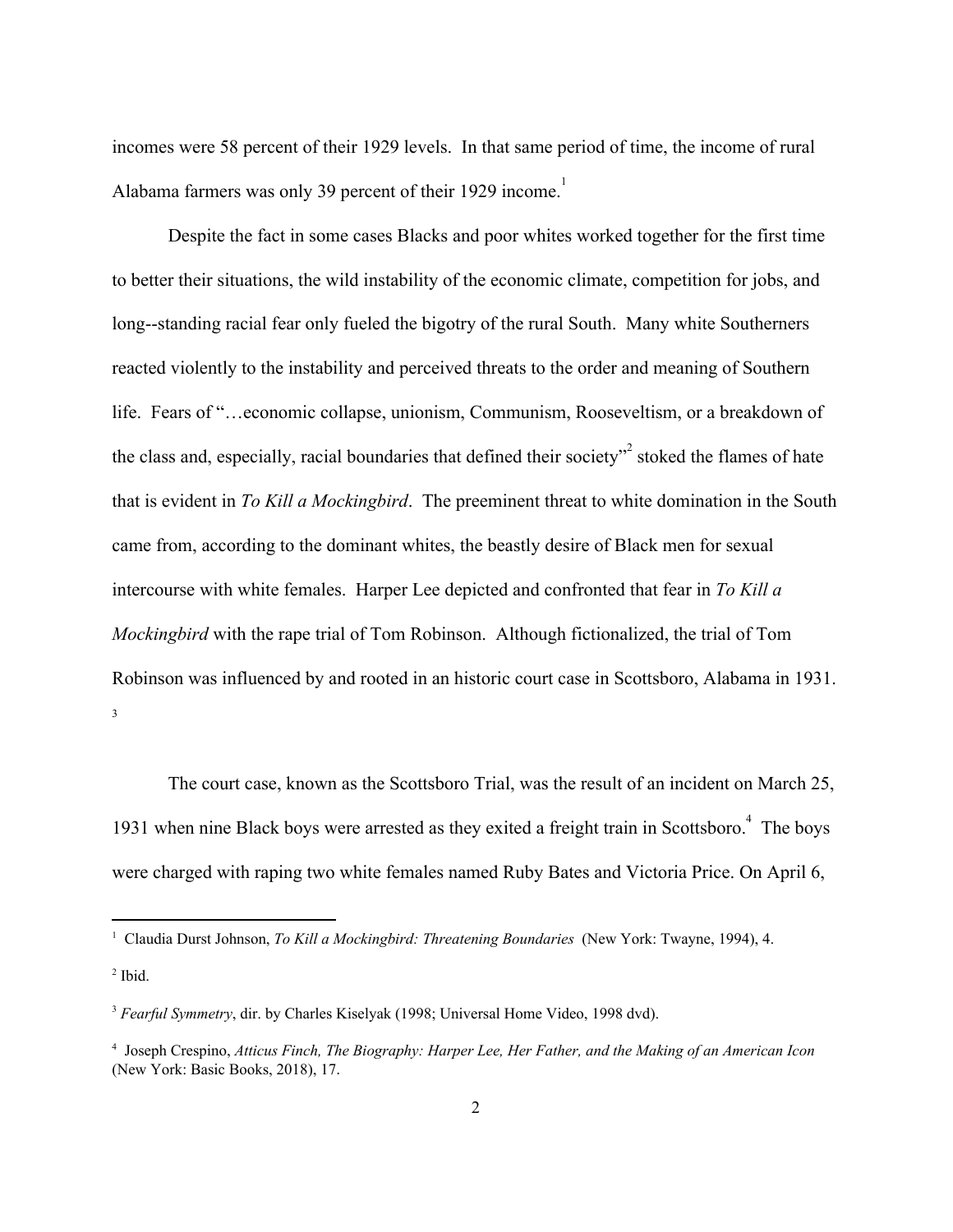incomes were 58 percent of their 1929 levels. In that same period of time, the income of rural Alabama farmers was only 39 percent of their 1929 income.<sup>1</sup>

Despite the fact in some cases Blacks and poor whites worked together for the first time to better their situations, the wild instability of the economic climate, competition for jobs, and long--standing racial fear only fueled the bigotry of the rural South. Many white Southerners reacted violently to the instability and perceived threats to the order and meaning of Southern life. Fears of "…economic collapse, unionism, Communism, Rooseveltism, or a breakdown of the class and, especially, racial boundaries that defined their society<sup> $2$ </sup> stoked the flames of hate that is evident in *To Kill a Mockingbird*. The preeminent threat to white domination in the South came from, according to the dominant whites, the beastly desire of Black men for sexual intercourse with white females. Harper Lee depicted and confronted that fear in *To Kill a Mockingbird* with the rape trial of Tom Robinson. Although fictionalized, the trial of Tom Robinson was influenced by and rooted in an historic court case in Scottsboro, Alabama in 1931. 3

The court case, known as the Scottsboro Trial, was the result of an incident on March 25, 1931 when nine Black boys were arrested as they exited a freight train in Scottsboro. $4$  The boys were charged with raping two white females named Ruby Bates and Victoria Price. On April 6,

<sup>1</sup> Claudia Durst Johnson, *To Kill a Mockingbird: Threatening Boundaries* (New York: Twayne, 1994), 4.

 $<sup>2</sup>$  Ibid.</sup>

<sup>3</sup> *Fearful Symmetry*, dir. by Charles Kiselyak (1998; Universal Home Video, 1998 dvd).

<sup>4</sup> Joseph Crespino, *Atticus Finch, The Biography: Harper Lee, Her Father, and the Making of an American Icon* (New York: Basic Books, 2018), 17.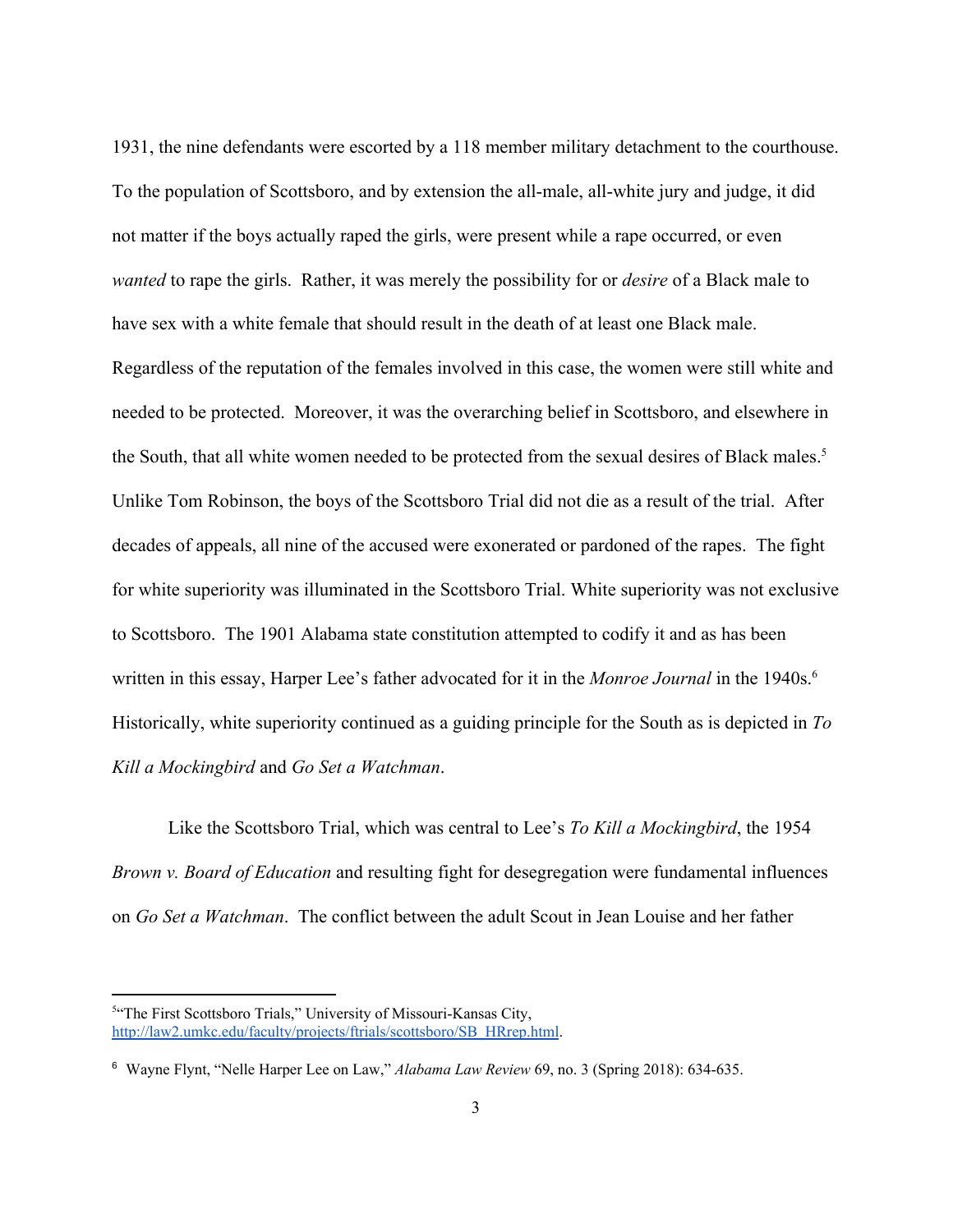1931, the nine defendants were escorted by a 118 member military detachment to the courthouse. To the population of Scottsboro, and by extension the all-male, all-white jury and judge, it did not matter if the boys actually raped the girls, were present while a rape occurred, or even *wanted* to rape the girls. Rather, it was merely the possibility for or *desire* of a Black male to have sex with a white female that should result in the death of at least one Black male. Regardless of the reputation of the females involved in this case, the women were still white and needed to be protected. Moreover, it was the overarching belief in Scottsboro, and elsewhere in the South, that all white women needed to be protected from the sexual desires of Black males.<sup>5</sup> Unlike Tom Robinson, the boys of the Scottsboro Trial did not die as a result of the trial. After decades of appeals, all nine of the accused were exonerated or pardoned of the rapes. The fight for white superiority was illuminated in the Scottsboro Trial. White superiority was not exclusive to Scottsboro. The 1901 Alabama state constitution attempted to codify it and as has been written in this essay, Harper Lee's father advocated for it in the *Monroe Journal* in the 1940s.<sup>6</sup> Historically, white superiority continued as a guiding principle for the South as is depicted in *To Kill a Mockingbird* and *Go Set a Watchman*.

Like the Scottsboro Trial, which was central to Lee's *To Kill a Mockingbird*, the 1954 *Brown v. Board of Education* and resulting fight for desegregation were fundamental influences on *Go Set a Watchman*. The conflict between the adult Scout in Jean Louise and her father

<sup>&</sup>lt;sup>5"</sup>The First Scottsboro Trials," University of Missouri-Kansas City, [http://law2.umkc.edu/faculty/projects/ftrials/scottsboro/SB\\_HRrep.html](http://law2.umkc.edu/faculty/projects/ftrials/scottsboro/SB_HRrep.html).

<sup>6</sup> Wayne Flynt, "Nelle Harper Lee on Law," *Alabama Law Review* 69, no. 3 (Spring 2018): 634-635.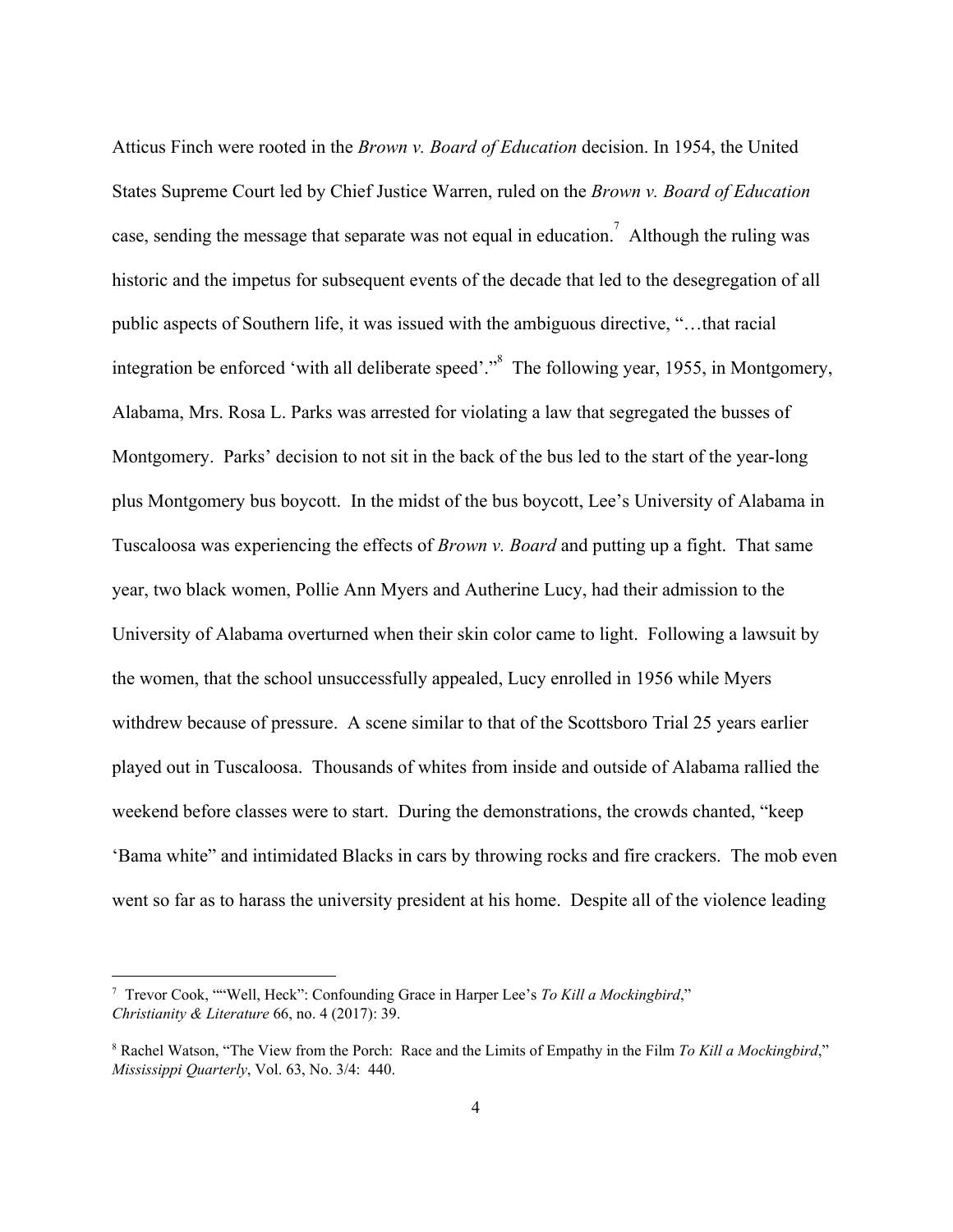Atticus Finch were rooted in the *Brown v. Board of Education* decision. In 1954, the United States Supreme Court led by Chief Justice Warren, ruled on the *Brown v. Board of Education* case, sending the message that separate was not equal in education.<sup>7</sup> Although the ruling was historic and the impetus for subsequent events of the decade that led to the desegregation of all public aspects of Southern life, it was issued with the ambiguous directive, "…that racial integration be enforced 'with all deliberate speed'."<sup>8</sup> The following year, 1955, in Montgomery, Alabama, Mrs. Rosa L. Parks was arrested for violating a law that segregated the busses of Montgomery. Parks' decision to not sit in the back of the bus led to the start of the year-long plus Montgomery bus boycott. In the midst of the bus boycott, Lee's University of Alabama in Tuscaloosa was experiencing the effects of *Brown v. Board* and putting up a fight. That same year, two black women, Pollie Ann Myers and Autherine Lucy, had their admission to the University of Alabama overturned when their skin color came to light. Following a lawsuit by the women, that the school unsuccessfully appealed, Lucy enrolled in 1956 while Myers withdrew because of pressure. A scene similar to that of the Scottsboro Trial 25 years earlier played out in Tuscaloosa. Thousands of whites from inside and outside of Alabama rallied the weekend before classes were to start. During the demonstrations, the crowds chanted, "keep 'Bama white" and intimidated Blacks in cars by throwing rocks and fire crackers. The mob even went so far as to harass the university president at his home. Despite all of the violence leading

<sup>7</sup> Trevor Cook, ""Well, Heck": Confounding Grace in Harper Lee's *To Kill a Mockingbird*," *Christianity & Literature* 66, no. 4 (2017): 39.

<sup>8</sup> Rachel Watson, "The View from the Porch: Race and the Limits of Empathy in the Film *To Kill a Mockingbird*," *Mississippi Quarterly*, Vol. 63, No. 3/4: 440.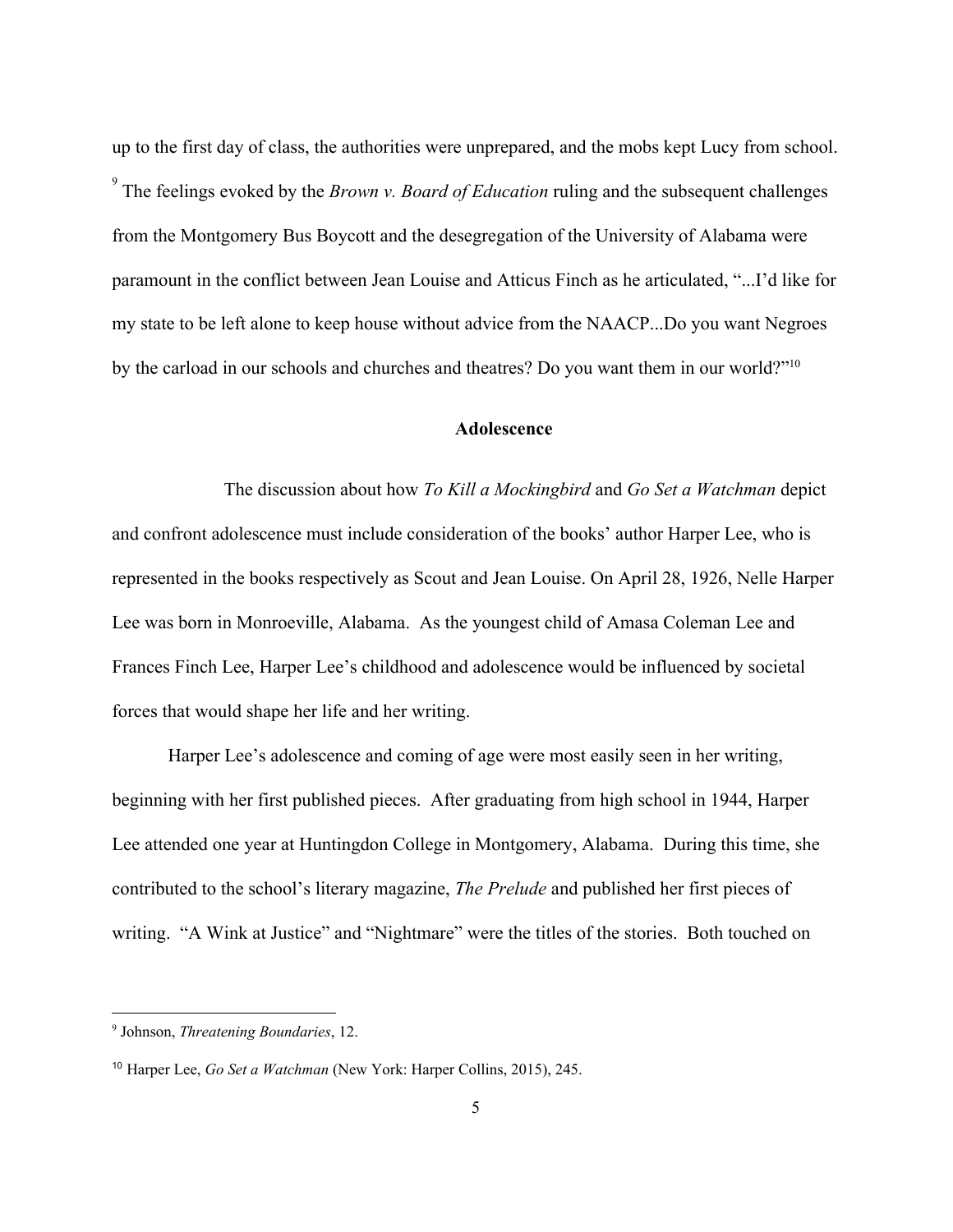up to the first day of class, the authorities were unprepared, and the mobs kept Lucy from school. <sup>9</sup> The feelings evoked by the *Brown v. Board of Education* ruling and the subsequent challenges from the Montgomery Bus Boycott and the desegregation of the University of Alabama were paramount in the conflict between Jean Louise and Atticus Finch as he articulated, "...I'd like for my state to be left alone to keep house without advice from the NAACP...Do you want Negroes by the carload in our schools and churches and theatres? Do you want them in our world?"<sup>10</sup>

#### **Adolescence**

The discussion about how *To Kill a Mockingbird* and *Go Set a Watchman* depict and confront adolescence must include consideration of the books' author Harper Lee, who is represented in the books respectively as Scout and Jean Louise. On April 28, 1926, Nelle Harper Lee was born in Monroeville, Alabama. As the youngest child of Amasa Coleman Lee and Frances Finch Lee, Harper Lee's childhood and adolescence would be influenced by societal forces that would shape her life and her writing.

Harper Lee's adolescence and coming of age were most easily seen in her writing, beginning with her first published pieces. After graduating from high school in 1944, Harper Lee attended one year at Huntingdon College in Montgomery, Alabama. During this time, she contributed to the school's literary magazine, *The Prelude* and published her first pieces of writing. "A Wink at Justice" and "Nightmare" were the titles of the stories. Both touched on

<sup>9</sup> Johnson, *Threatening Boundaries*, 12.

<sup>10</sup> Harper Lee, *Go Set a Watchman* (New York: Harper Collins, 2015), 245.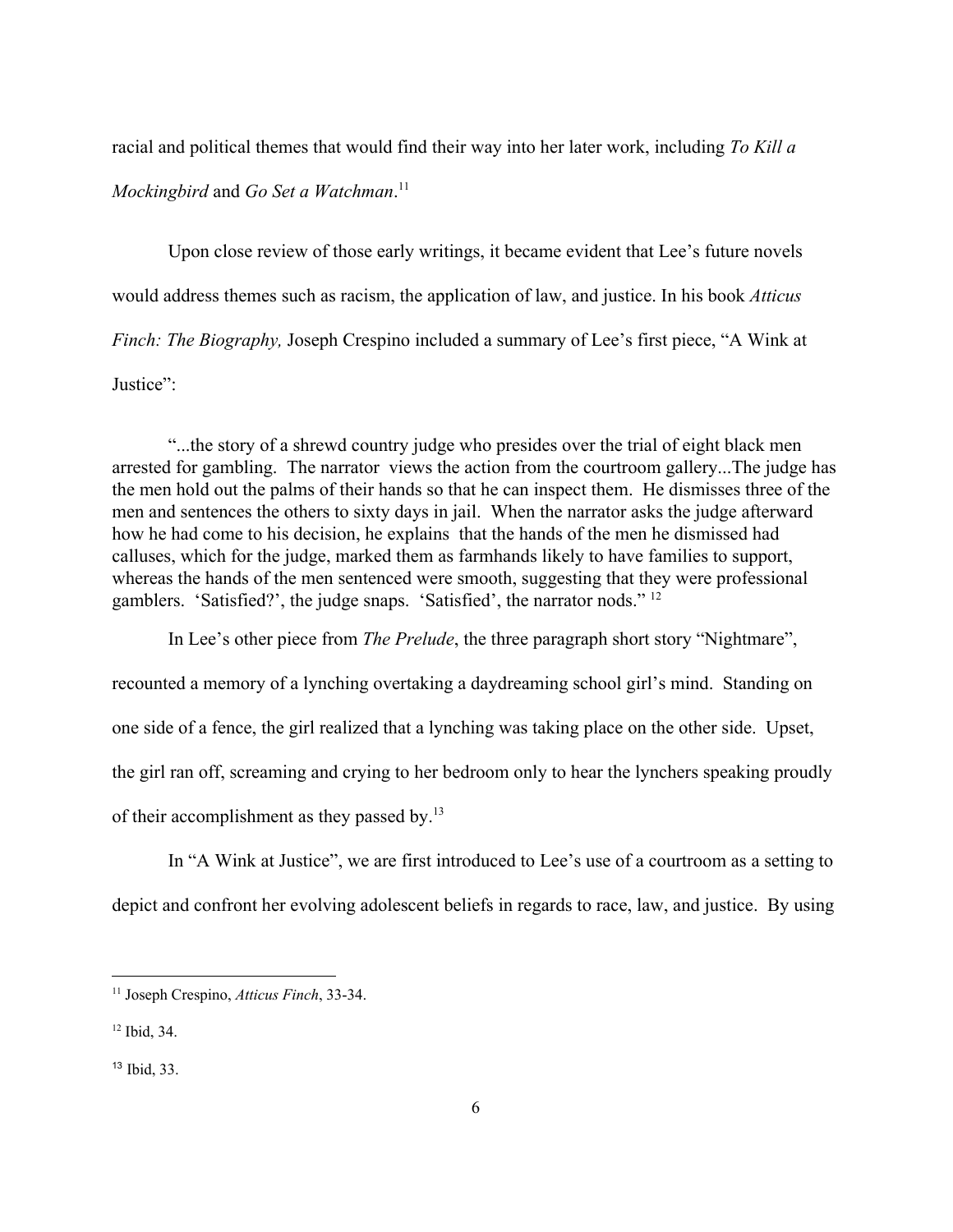racial and political themes that would find their way into her later work, including *To Kill a Mockingbird* and *Go Set a Watchman*. 11

Upon close review of those early writings, it became evident that Lee's future novels would address themes such as racism, the application of law, and justice. In his book *Atticus Finch: The Biography, Joseph Crespino included a summary of Lee's first piece, "A Wink at* Justice":

"...the story of a shrewd country judge who presides over the trial of eight black men arrested for gambling. The narrator views the action from the courtroom gallery...The judge has the men hold out the palms of their hands so that he can inspect them. He dismisses three of the men and sentences the others to sixty days in jail. When the narrator asks the judge afterward how he had come to his decision, he explains that the hands of the men he dismissed had calluses, which for the judge, marked them as farmhands likely to have families to support, whereas the hands of the men sentenced were smooth, suggesting that they were professional gamblers. 'Satisfied?', the judge snaps. 'Satisfied', the narrator nods." <sup>12</sup>

In Lee's other piece from *The Prelude*, the three paragraph short story "Nightmare", recounted a memory of a lynching overtaking a daydreaming school girl's mind. Standing on one side of a fence, the girl realized that a lynching was taking place on the other side. Upset, the girl ran off, screaming and crying to her bedroom only to hear the lynchers speaking proudly of their accomplishment as they passed by.<sup>13</sup>

In "A Wink at Justice", we are first introduced to Lee's use of a courtroom as a setting to depict and confront her evolving adolescent beliefs in regards to race, law, and justice. By using

<sup>11</sup> Joseph Crespino, *Atticus Finch*, 33-34.

<sup>12</sup> Ibid, 34.

<sup>13</sup> Ibid, 33.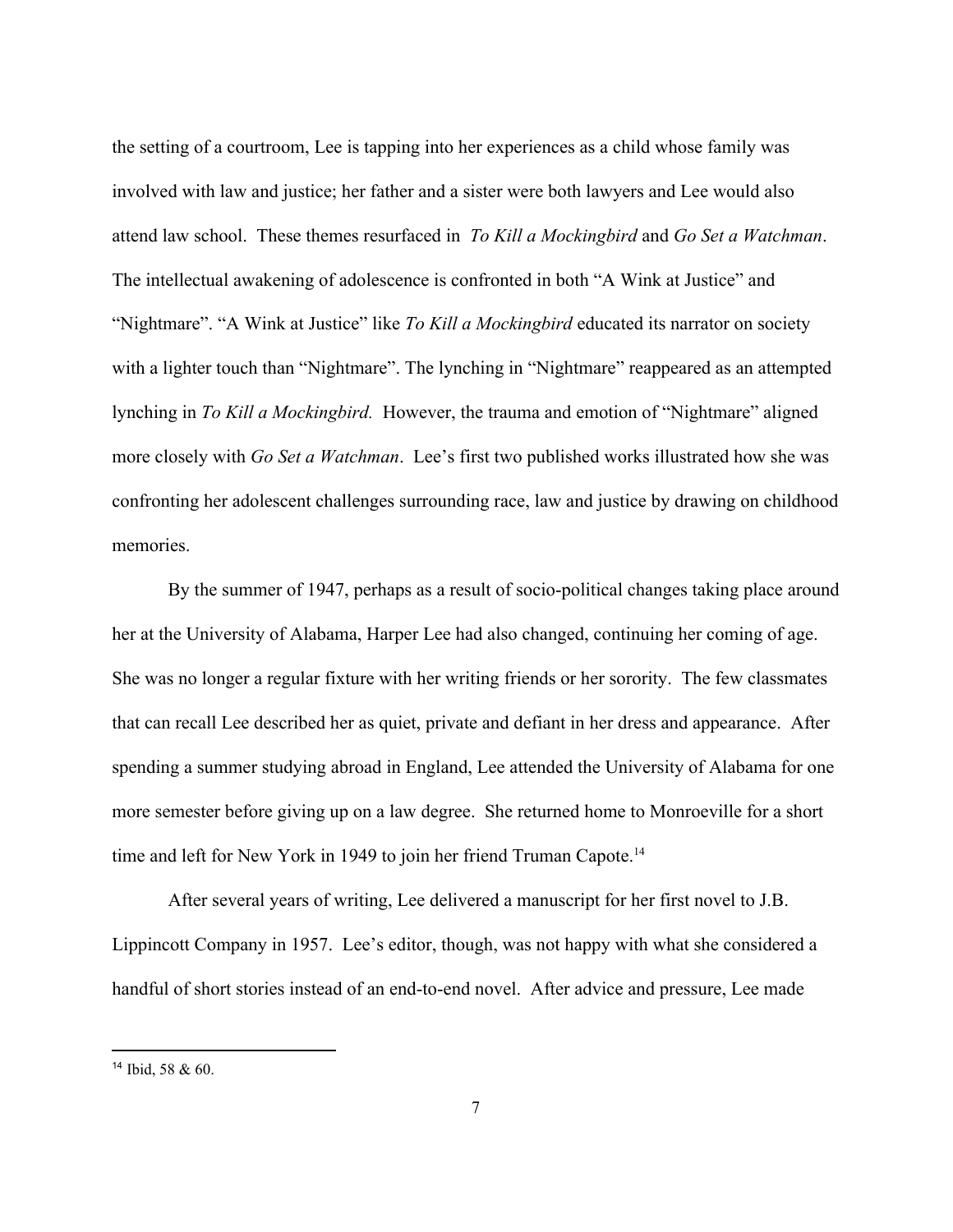the setting of a courtroom, Lee is tapping into her experiences as a child whose family was involved with law and justice; her father and a sister were both lawyers and Lee would also attend law school. These themes resurfaced in *To Kill a Mockingbird* and *Go Set a Watchman*. The intellectual awakening of adolescence is confronted in both "A Wink at Justice" and "Nightmare". "A Wink at Justice" like *To Kill a Mockingbird* educated its narrator on society with a lighter touch than "Nightmare". The lynching in "Nightmare" reappeared as an attempted lynching in *To Kill a Mockingbird.* However, the trauma and emotion of "Nightmare" aligned more closely with *Go Set a Watchman*. Lee's first two published works illustrated how she was confronting her adolescent challenges surrounding race, law and justice by drawing on childhood memories.

By the summer of 1947, perhaps as a result of socio-political changes taking place around her at the University of Alabama, Harper Lee had also changed, continuing her coming of age. She was no longer a regular fixture with her writing friends or her sorority. The few classmates that can recall Lee described her as quiet, private and defiant in her dress and appearance. After spending a summer studying abroad in England, Lee attended the University of Alabama for one more semester before giving up on a law degree. She returned home to Monroeville for a short time and left for New York in 1949 to join her friend Truman Capote.<sup>14</sup>

After several years of writing, Lee delivered a manuscript for her first novel to J.B. Lippincott Company in 1957. Lee's editor, though, was not happy with what she considered a handful of short stories instead of an end-to-end novel. After advice and pressure, Lee made

<sup>14</sup> Ibid, 58 & 60.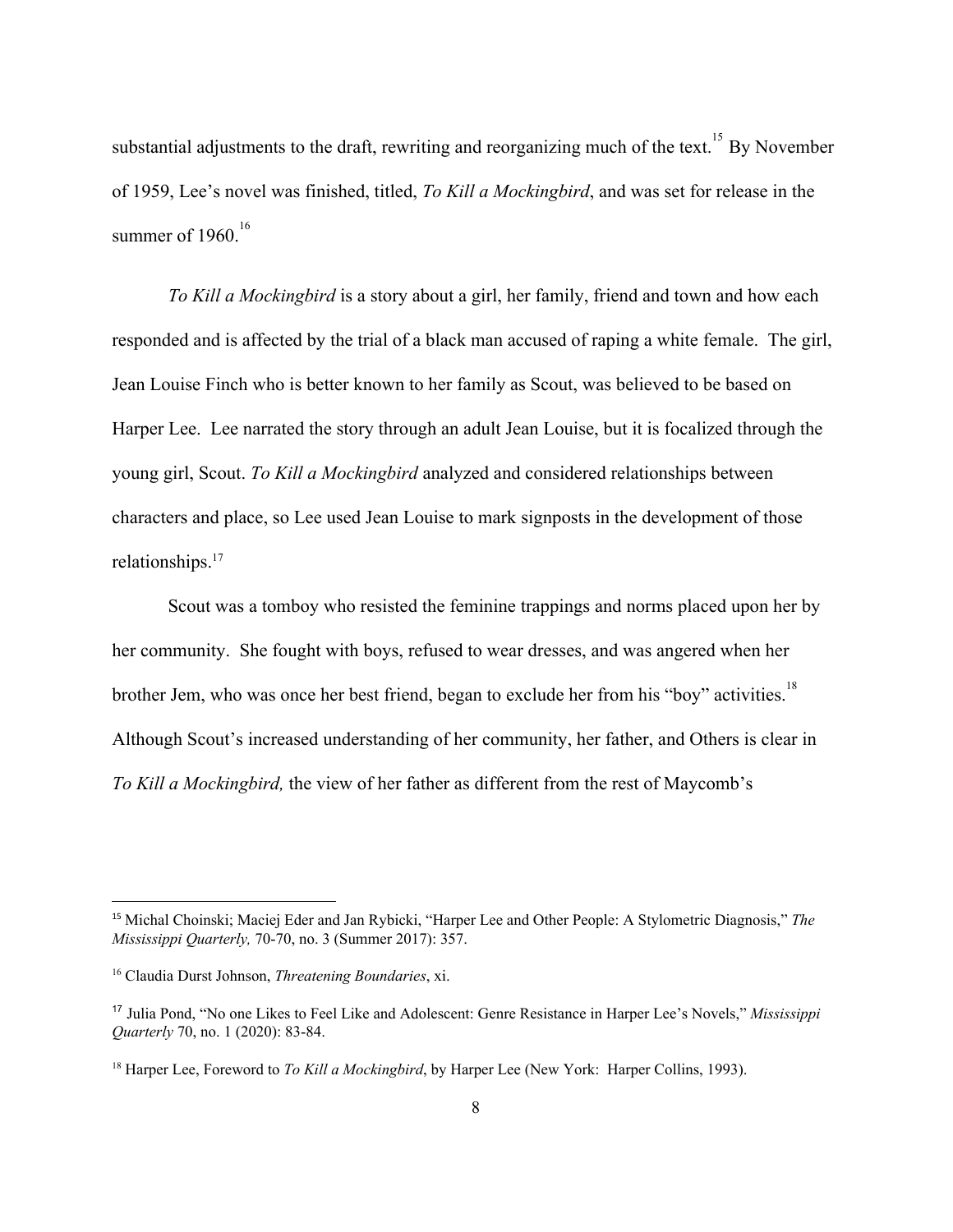substantial adjustments to the draft, rewriting and reorganizing much of the text.<sup>15</sup> By November of 1959, Lee's novel was finished, titled, *To Kill a Mockingbird*, and was set for release in the summer of  $1960$ <sup>16</sup>

*To Kill a Mockingbird* is a story about a girl, her family, friend and town and how each responded and is affected by the trial of a black man accused of raping a white female. The girl, Jean Louise Finch who is better known to her family as Scout, was believed to be based on Harper Lee. Lee narrated the story through an adult Jean Louise, but it is focalized through the young girl, Scout. *To Kill a Mockingbird* analyzed and considered relationships between characters and place, so Lee used Jean Louise to mark signposts in the development of those relationships.<sup>17</sup>

Scout was a tomboy who resisted the feminine trappings and norms placed upon her by her community. She fought with boys, refused to wear dresses, and was angered when her brother Jem, who was once her best friend, began to exclude her from his "boy" activities.<sup>18</sup> Although Scout's increased understanding of her community, her father, and Others is clear in *To Kill a Mockingbird,* the view of her father as different from the rest of Maycomb's

<sup>15</sup> Michal Choinski; Maciej Eder and Jan Rybicki, "Harper Lee and Other People: A Stylometric Diagnosis," *The Mississippi Quarterly,* 70-70, no. 3 (Summer 2017): 357.

<sup>16</sup> Claudia Durst Johnson, *Threatening Boundaries*, xi.

<sup>17</sup> Julia Pond, "No one Likes to Feel Like and Adolescent: Genre Resistance in Harper Lee's Novels," *Mississippi Quarterly* 70, no. 1 (2020): 83-84.

<sup>18</sup> Harper Lee, Foreword to *To Kill a Mockingbird*, by Harper Lee (New York: Harper Collins, 1993).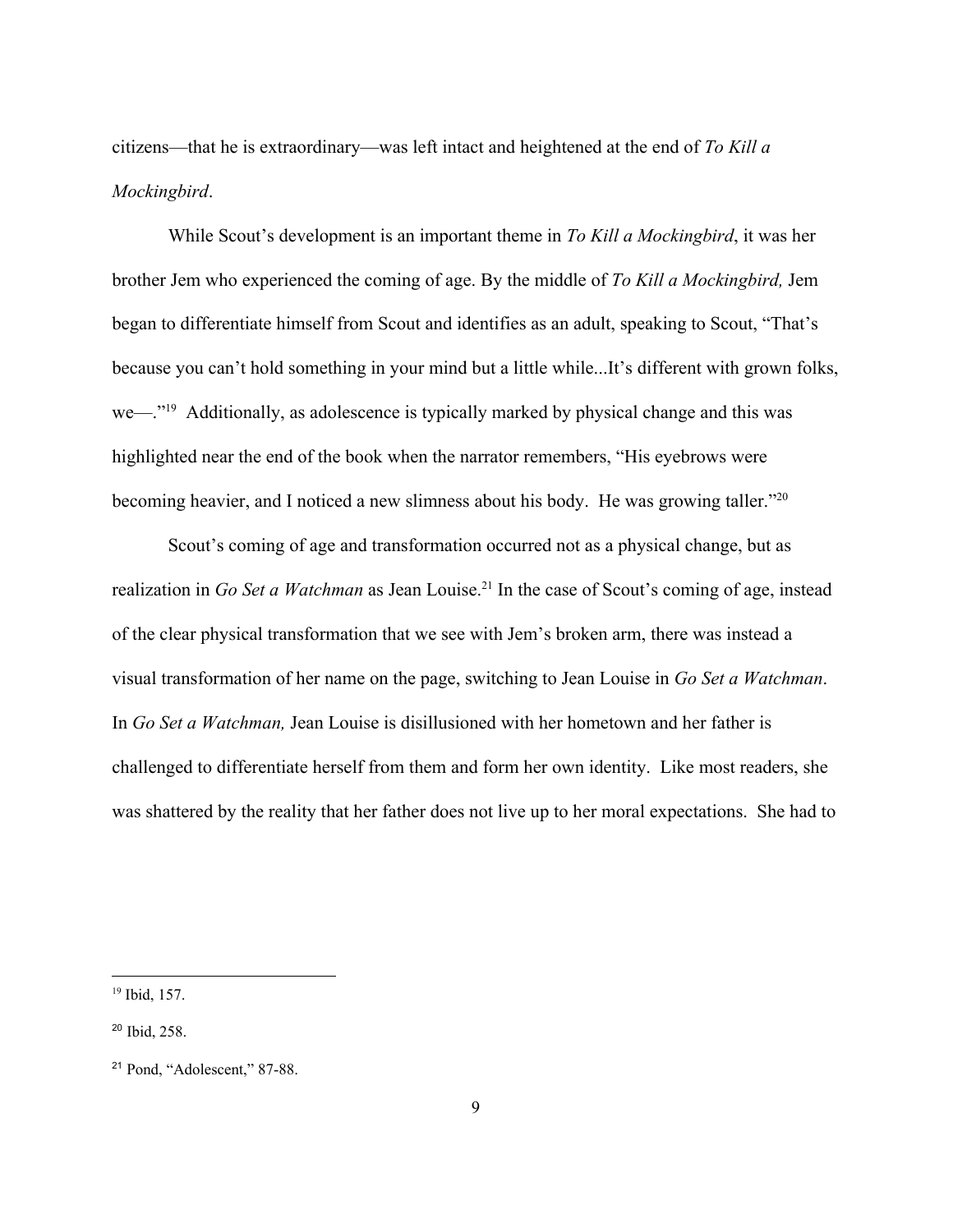citizens—that he is extraordinary—was left intact and heightened at the end of *To Kill a Mockingbird*.

While Scout's development is an important theme in *To Kill a Mockingbird*, it was her brother Jem who experienced the coming of age. By the middle of *To Kill a Mockingbird,* Jem began to differentiate himself from Scout and identifies as an adult, speaking to Scout, "That's because you can't hold something in your mind but a little while...It's different with grown folks, we—. $\degree$ <sup>19</sup> Additionally, as adolescence is typically marked by physical change and this was highlighted near the end of the book when the narrator remembers, "His eyebrows were becoming heavier, and I noticed a new slimness about his body. He was growing taller."<sup>20</sup>

Scout's coming of age and transformation occurred not as a physical change, but as realization in *Go Set a Watchman* as Jean Louise.<sup>21</sup> In the case of Scout's coming of age, instead of the clear physical transformation that we see with Jem's broken arm, there was instead a visual transformation of her name on the page, switching to Jean Louise in *Go Set a Watchman*. In *Go Set a Watchman,* Jean Louise is disillusioned with her hometown and her father is challenged to differentiate herself from them and form her own identity. Like most readers, she was shattered by the reality that her father does not live up to her moral expectations. She had to

<sup>19</sup> Ibid, 157.

<sup>20</sup> Ibid, 258.

<sup>21</sup> Pond, "Adolescent," 87-88.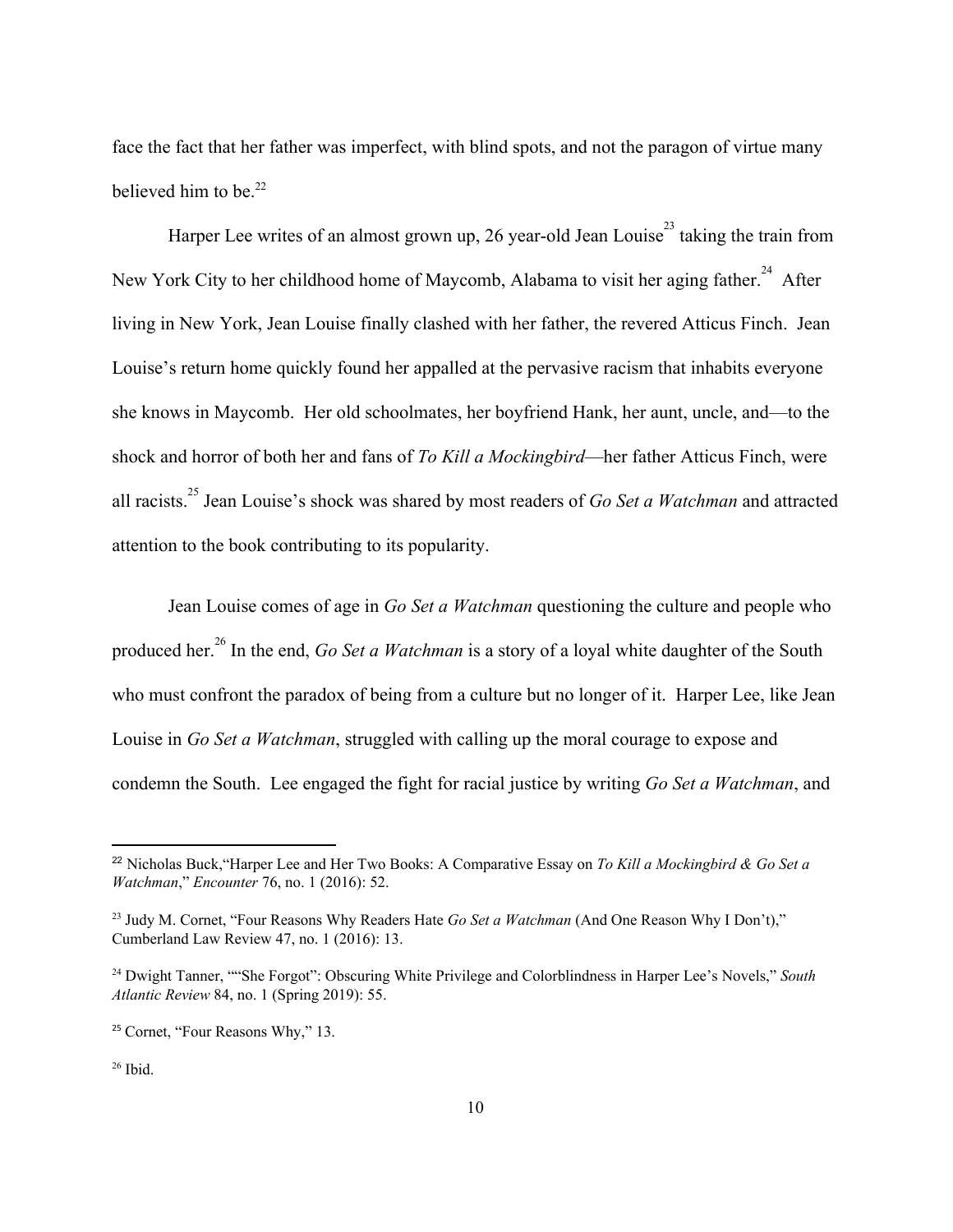face the fact that her father was imperfect, with blind spots, and not the paragon of virtue many believed him to be. $22$ 

Harper Lee writes of an almost grown up, 26 year-old Jean Louise<sup>23</sup> taking the train from New York City to her childhood home of Maycomb, Alabama to visit her aging father.<sup>24</sup> After living in New York, Jean Louise finally clashed with her father, the revered Atticus Finch. Jean Louise's return home quickly found her appalled at the pervasive racism that inhabits everyone she knows in Maycomb. Her old schoolmates, her boyfriend Hank, her aunt, uncle, and—to the shock and horror of both her and fans of *To Kill a Mockingbird*—her father Atticus Finch, were all racists.<sup>25</sup> Jean Louise's shock was shared by most readers of *Go Set a Watchman* and attracted attention to the book contributing to its popularity.

Jean Louise comes of age in *Go Set a Watchman* questioning the culture and people who produced her.<sup>26</sup> In the end, *Go Set a Watchman* is a story of a loyal white daughter of the South who must confront the paradox of being from a culture but no longer of it. Harper Lee, like Jean Louise in *Go Set a Watchman*, struggled with calling up the moral courage to expose and condemn the South. Lee engaged the fight for racial justice by writing *Go Set a Watchman*, and

<sup>22</sup> Nicholas Buck,"Harper Lee and Her Two Books: A Comparative Essay on *To Kill a Mockingbird & Go Set a Watchman*," *Encounter* 76, no. 1 (2016): 52.

<sup>23</sup> Judy M. Cornet, "Four Reasons Why Readers Hate *Go Set a Watchman* (And One Reason Why I Don't)," Cumberland Law Review 47, no. 1 (2016): 13.

<sup>24</sup> Dwight Tanner, ""She Forgot": Obscuring White Privilege and Colorblindness in Harper Lee's Novels," *South Atlantic Review* 84, no. 1 (Spring 2019): 55.

<sup>25</sup> Cornet, "Four Reasons Why," 13.

 $26$  Ibid.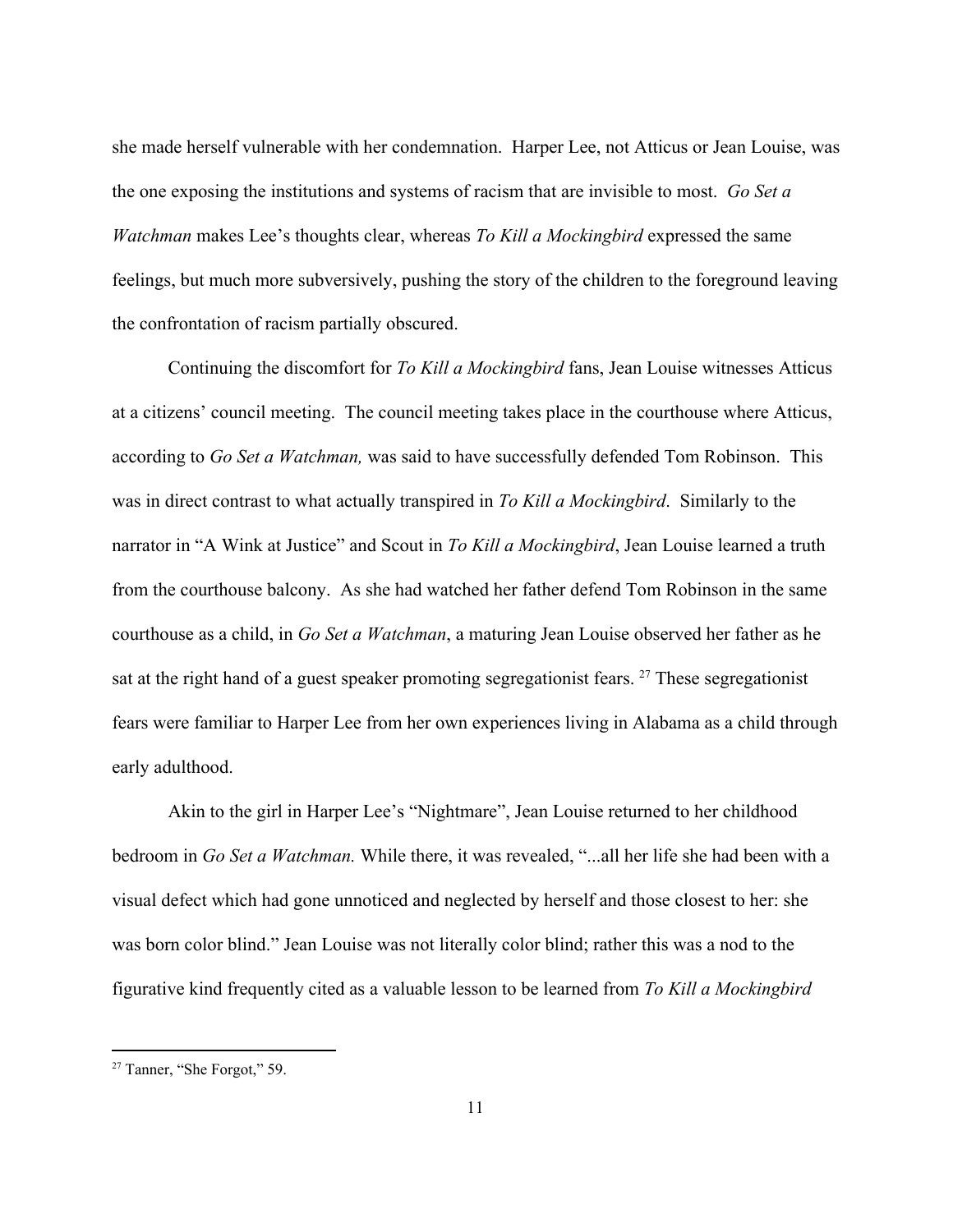she made herself vulnerable with her condemnation. Harper Lee, not Atticus or Jean Louise, was the one exposing the institutions and systems of racism that are invisible to most. *Go Set a Watchman* makes Lee's thoughts clear, whereas *To Kill a Mockingbird* expressed the same feelings, but much more subversively, pushing the story of the children to the foreground leaving the confrontation of racism partially obscured.

Continuing the discomfort for *To Kill a Mockingbird* fans, Jean Louise witnesses Atticus at a citizens' council meeting. The council meeting takes place in the courthouse where Atticus, according to *Go Set a Watchman,* was said to have successfully defended Tom Robinson. This was in direct contrast to what actually transpired in *To Kill a Mockingbird*. Similarly to the narrator in "A Wink at Justice" and Scout in *To Kill a Mockingbird*, Jean Louise learned a truth from the courthouse balcony. As she had watched her father defend Tom Robinson in the same courthouse as a child, in *Go Set a Watchman*, a maturing Jean Louise observed her father as he sat at the right hand of a guest speaker promoting segregationist fears.  $^{27}$  These segregationist fears were familiar to Harper Lee from her own experiences living in Alabama as a child through early adulthood.

Akin to the girl in Harper Lee's "Nightmare", Jean Louise returned to her childhood bedroom in *Go Set a Watchman.* While there, it was revealed, "...all her life she had been with a visual defect which had gone unnoticed and neglected by herself and those closest to her: she was born color blind." Jean Louise was not literally color blind; rather this was a nod to the figurative kind frequently cited as a valuable lesson to be learned from *To Kill a Mockingbird*

<sup>27</sup> Tanner, "She Forgot," 59.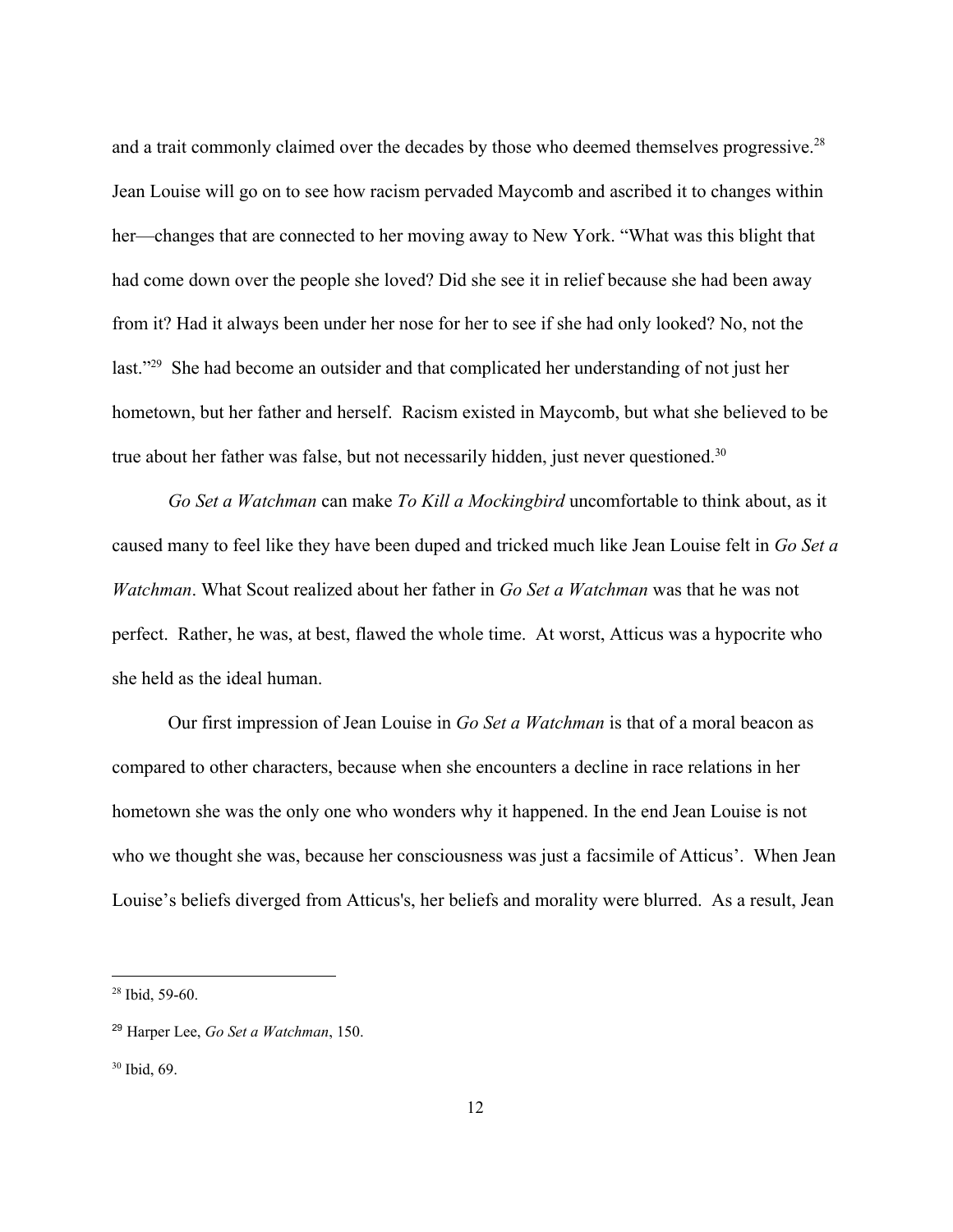and a trait commonly claimed over the decades by those who deemed themselves progressive.<sup>28</sup> Jean Louise will go on to see how racism pervaded Maycomb and ascribed it to changes within her—changes that are connected to her moving away to New York. "What was this blight that had come down over the people she loved? Did she see it in relief because she had been away from it? Had it always been under her nose for her to see if she had only looked? No, not the last."<sup>29</sup> She had become an outsider and that complicated her understanding of not just her hometown, but her father and herself. Racism existed in Maycomb, but what she believed to be true about her father was false, but not necessarily hidden, just never questioned.<sup>30</sup>

*Go Set a Watchman* can make *To Kill a Mockingbird* uncomfortable to think about, as it caused many to feel like they have been duped and tricked much like Jean Louise felt in *Go Set a Watchman*. What Scout realized about her father in *Go Set a Watchman* was that he was not perfect. Rather, he was, at best, flawed the whole time. At worst, Atticus was a hypocrite who she held as the ideal human.

Our first impression of Jean Louise in *Go Set a Watchman* is that of a moral beacon as compared to other characters, because when she encounters a decline in race relations in her hometown she was the only one who wonders why it happened. In the end Jean Louise is not who we thought she was, because her consciousness was just a facsimile of Atticus'. When Jean Louise's beliefs diverged from Atticus's, her beliefs and morality were blurred. As a result, Jean

<sup>28</sup> Ibid, 59-60.

<sup>29</sup> Harper Lee, *Go Set a Watchman*, 150.

<sup>30</sup> Ibid, 69.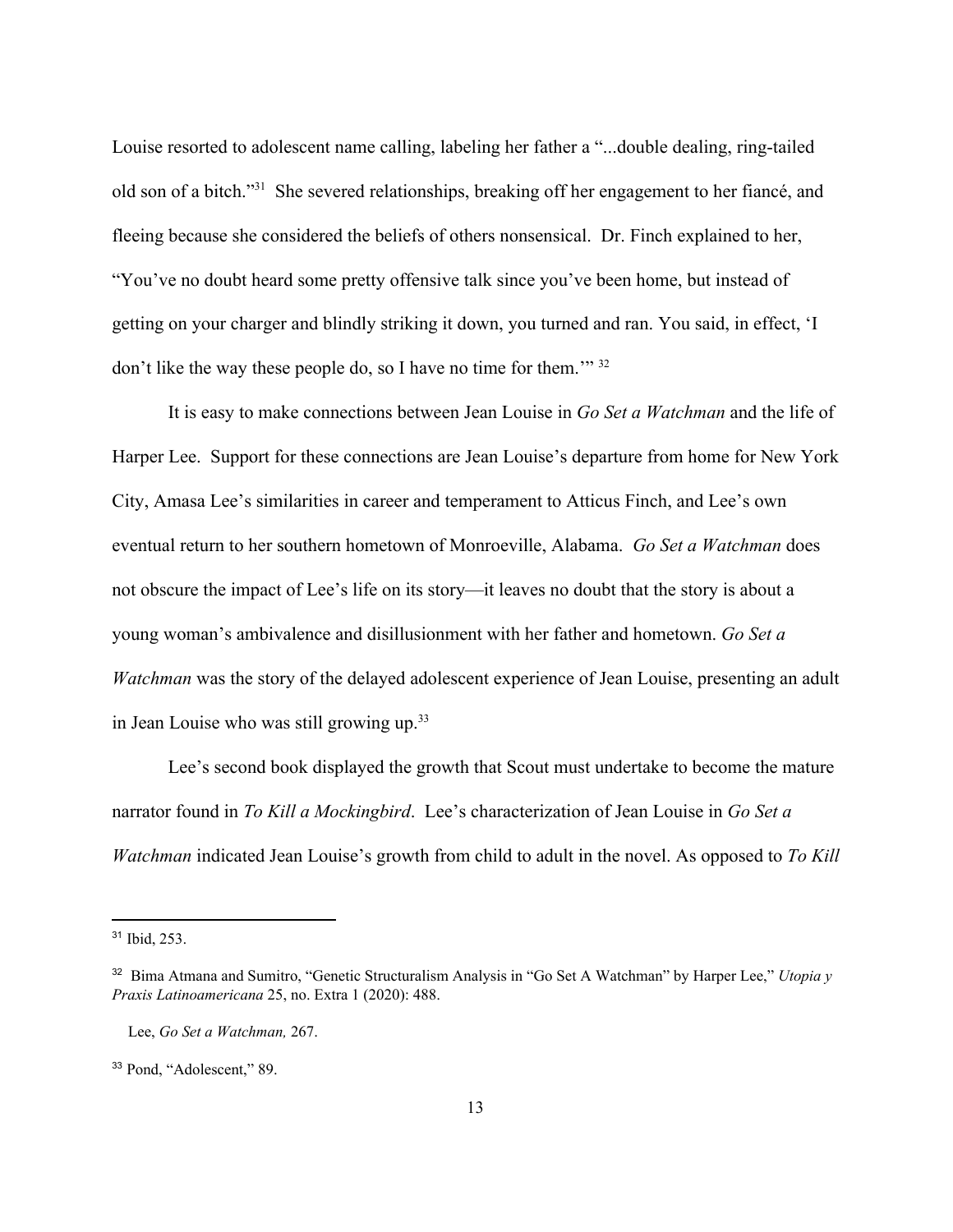Louise resorted to adolescent name calling, labeling her father a "...double dealing, ring-tailed old son of a bitch."<sup>31</sup> She severed relationships, breaking off her engagement to her fiancé, and fleeing because she considered the beliefs of others nonsensical. Dr. Finch explained to her, "You've no doubt heard some pretty offensive talk since you've been home, but instead of getting on your charger and blindly striking it down, you turned and ran. You said, in effect, 'I don't like the way these people do, so I have no time for them.'" <sup>32</sup>

It is easy to make connections between Jean Louise in *Go Set a Watchman* and the life of Harper Lee. Support for these connections are Jean Louise's departure from home for New York City, Amasa Lee's similarities in career and temperament to Atticus Finch, and Lee's own eventual return to her southern hometown of Monroeville, Alabama. *Go Set a Watchman* does not obscure the impact of Lee's life on its story—it leaves no doubt that the story is about a young woman's ambivalence and disillusionment with her father and hometown. *Go Set a Watchman* was the story of the delayed adolescent experience of Jean Louise, presenting an adult in Jean Louise who was still growing up.<sup>33</sup>

Lee's second book displayed the growth that Scout must undertake to become the mature narrator found in *To Kill a Mockingbird*. Lee's characterization of Jean Louise in *Go Set a Watchman* indicated Jean Louise's growth from child to adult in the novel. As opposed to *To Kill* 

<sup>31</sup> Ibid, 253.

<sup>32</sup> Bima Atmana and Sumitro, "Genetic Structuralism Analysis in "Go Set A Watchman" by Harper Lee," *Utopia y Praxis Latinoamericana* 25, no. Extra 1 (2020): 488.

Lee, *Go Set a Watchman,* 267.

<sup>33</sup> Pond, "Adolescent," 89.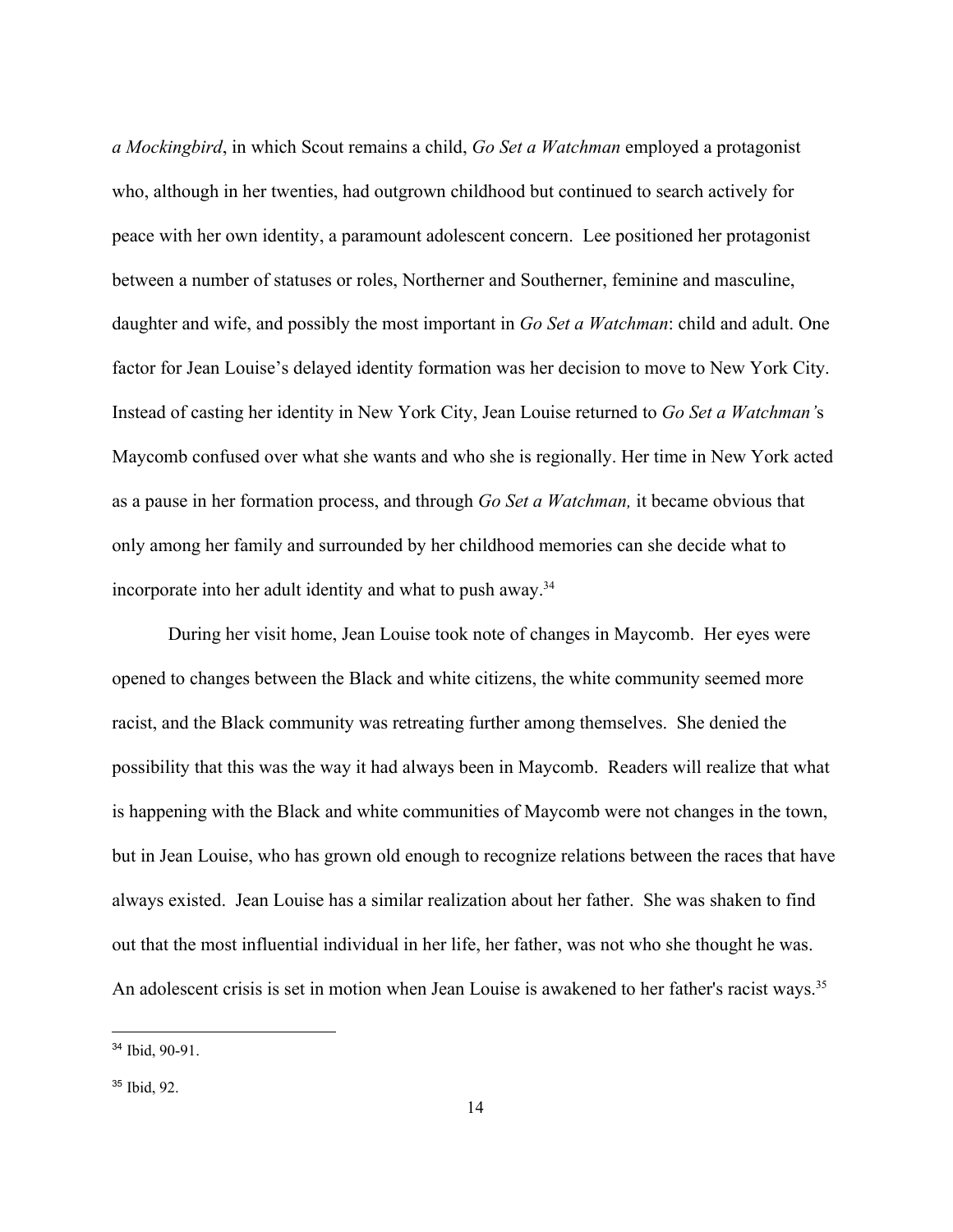*a Mockingbird*, in which Scout remains a child, *Go Set a Watchman* employed a protagonist who, although in her twenties, had outgrown childhood but continued to search actively for peace with her own identity, a paramount adolescent concern. Lee positioned her protagonist between a number of statuses or roles, Northerner and Southerner, feminine and masculine, daughter and wife, and possibly the most important in *Go Set a Watchman*: child and adult. One factor for Jean Louise's delayed identity formation was her decision to move to New York City. Instead of casting her identity in New York City, Jean Louise returned to *Go Set a Watchman'*s Maycomb confused over what she wants and who she is regionally. Her time in New York acted as a pause in her formation process, and through *Go Set a Watchman,* it became obvious that only among her family and surrounded by her childhood memories can she decide what to incorporate into her adult identity and what to push away.<sup>34</sup>

During her visit home, Jean Louise took note of changes in Maycomb. Her eyes were opened to changes between the Black and white citizens, the white community seemed more racist, and the Black community was retreating further among themselves. She denied the possibility that this was the way it had always been in Maycomb. Readers will realize that what is happening with the Black and white communities of Maycomb were not changes in the town, but in Jean Louise, who has grown old enough to recognize relations between the races that have always existed. Jean Louise has a similar realization about her father. She was shaken to find out that the most influential individual in her life, her father, was not who she thought he was. An adolescent crisis is set in motion when Jean Louise is awakened to her father's racist ways.<sup>35</sup>

<sup>34</sup> Ibid, 90-91.

<sup>35</sup> Ibid, 92.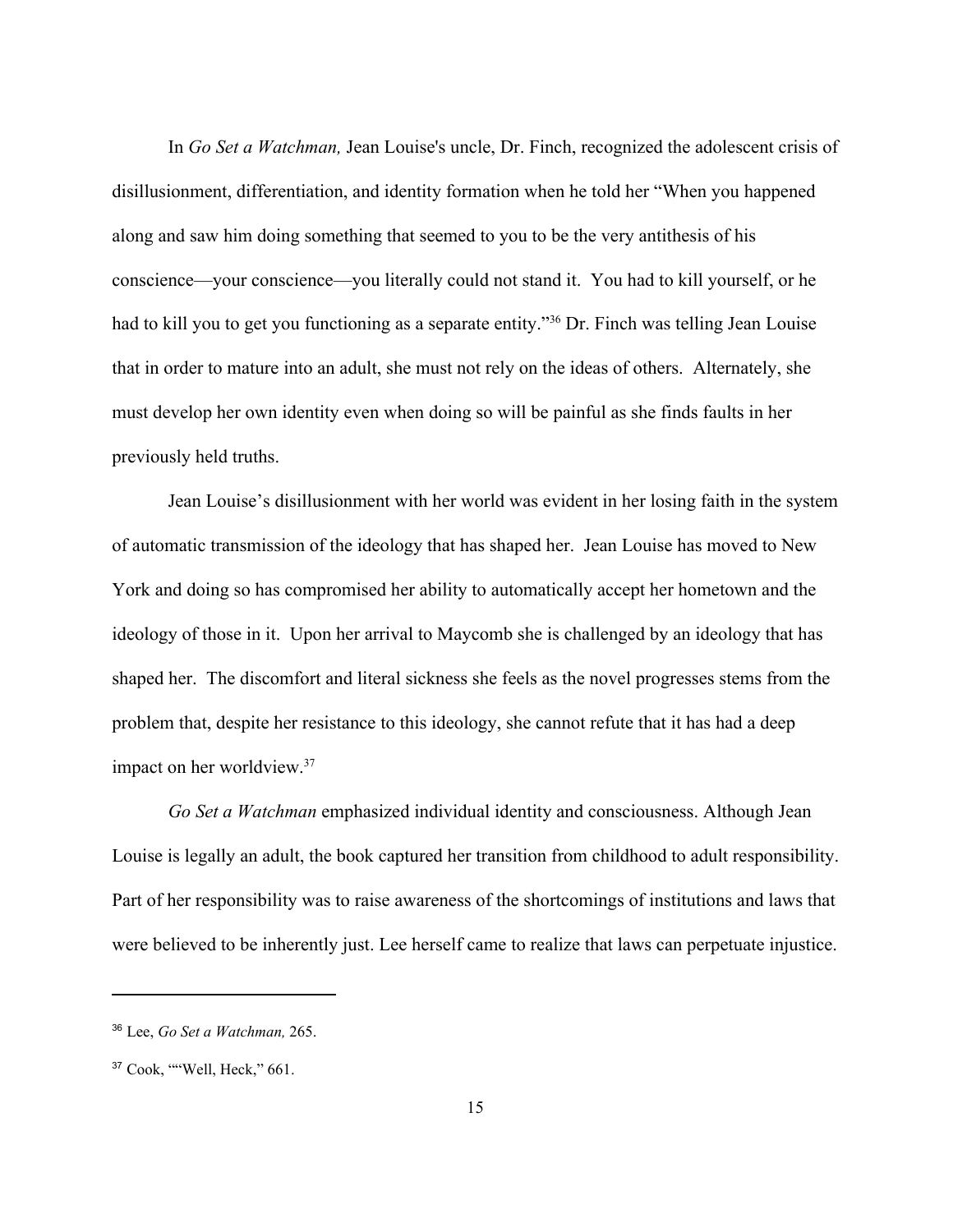In *Go Set a Watchman,* Jean Louise's uncle, Dr. Finch, recognized the adolescent crisis of disillusionment, differentiation, and identity formation when he told her "When you happened along and saw him doing something that seemed to you to be the very antithesis of his conscience—your conscience—you literally could not stand it. You had to kill yourself, or he had to kill you to get you functioning as a separate entity."<sup>36</sup> Dr. Finch was telling Jean Louise that in order to mature into an adult, she must not rely on the ideas of others. Alternately, she must develop her own identity even when doing so will be painful as she finds faults in her previously held truths.

Jean Louise's disillusionment with her world was evident in her losing faith in the system of automatic transmission of the ideology that has shaped her. Jean Louise has moved to New York and doing so has compromised her ability to automatically accept her hometown and the ideology of those in it. Upon her arrival to Maycomb she is challenged by an ideology that has shaped her. The discomfort and literal sickness she feels as the novel progresses stems from the problem that, despite her resistance to this ideology, she cannot refute that it has had a deep impact on her worldview.<sup>37</sup>

*Go Set a Watchman* emphasized individual identity and consciousness. Although Jean Louise is legally an adult, the book captured her transition from childhood to adult responsibility. Part of her responsibility was to raise awareness of the shortcomings of institutions and laws that were believed to be inherently just. Lee herself came to realize that laws can perpetuate injustice.

<sup>36</sup> Lee, *Go Set a Watchman,* 265.

<sup>37</sup> Cook, ""Well, Heck," 661.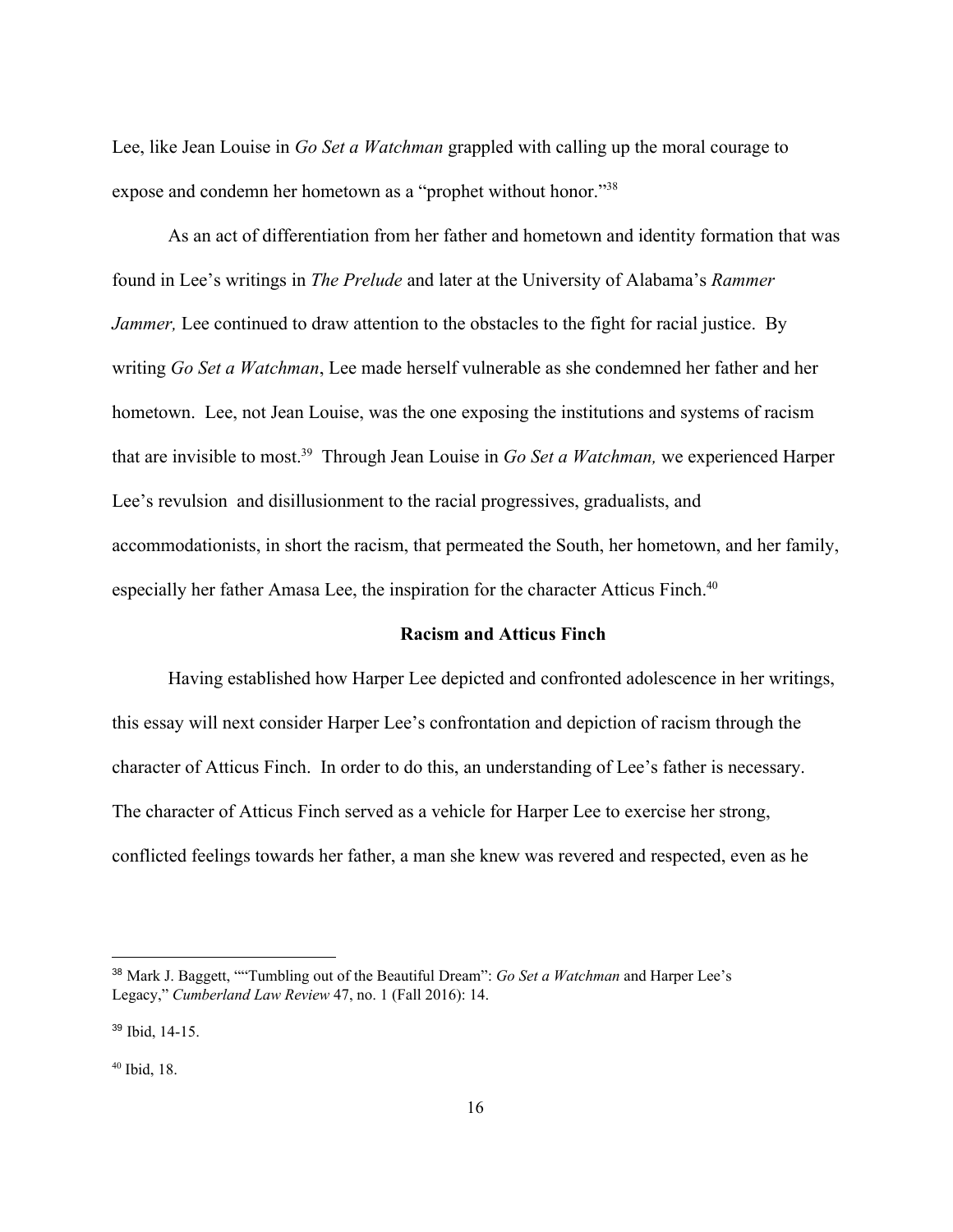Lee, like Jean Louise in *Go Set a Watchman* grappled with calling up the moral courage to expose and condemn her hometown as a "prophet without honor."<sup>38</sup>

As an act of differentiation from her father and hometown and identity formation that was found in Lee's writings in *The Prelude* and later at the University of Alabama's *Rammer Jammer*, Lee continued to draw attention to the obstacles to the fight for racial justice. By writing *Go Set a Watchman*, Lee made herself vulnerable as she condemned her father and her hometown. Lee, not Jean Louise, was the one exposing the institutions and systems of racism that are invisible to most.<sup>39</sup> Through Jean Louise in *Go Set a Watchman*, we experienced Harper Lee's revulsion and disillusionment to the racial progressives, gradualists, and accommodationists, in short the racism, that permeated the South, her hometown, and her family, especially her father Amasa Lee, the inspiration for the character Atticus Finch.<sup>40</sup>

#### **Racism and Atticus Finch**

Having established how Harper Lee depicted and confronted adolescence in her writings, this essay will next consider Harper Lee's confrontation and depiction of racism through the character of Atticus Finch. In order to do this, an understanding of Lee's father is necessary. The character of Atticus Finch served as a vehicle for Harper Lee to exercise her strong, conflicted feelings towards her father, a man she knew was revered and respected, even as he

<sup>38</sup> Mark J. Baggett, ""Tumbling out of the Beautiful Dream": *Go Set a Watchman* and Harper Lee's Legacy," *Cumberland Law Review* 47, no. 1 (Fall 2016): 14.

<sup>39</sup> Ibid, 14-15.

<sup>40</sup> Ibid, 18.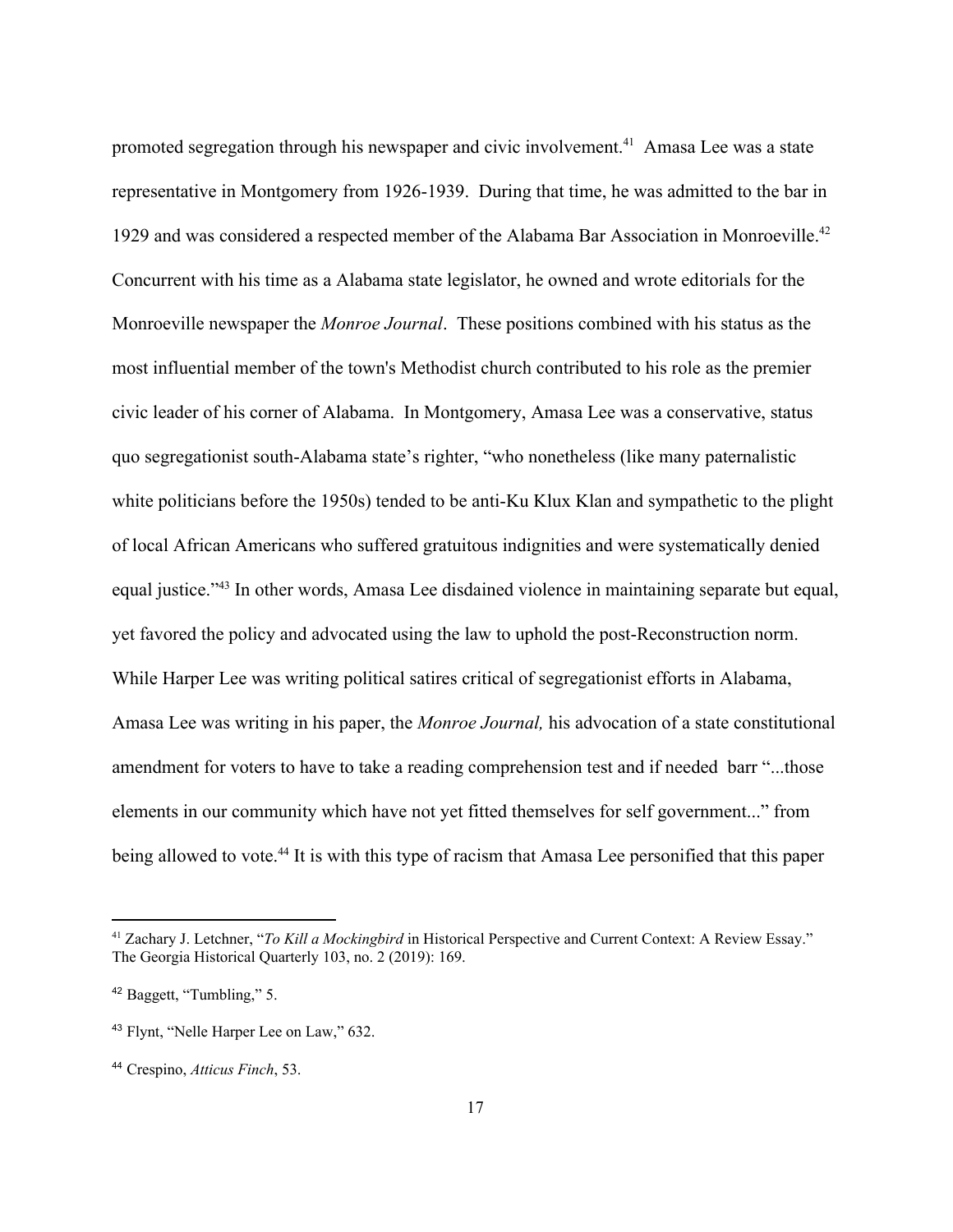promoted segregation through his newspaper and civic involvement.<sup>41</sup> Amasa Lee was a state representative in Montgomery from 1926-1939. During that time, he was admitted to the bar in 1929 and was considered a respected member of the Alabama Bar Association in Monroeville.<sup>42</sup> Concurrent with his time as a Alabama state legislator, he owned and wrote editorials for the Monroeville newspaper the *Monroe Journal*. These positions combined with his status as the most influential member of the town's Methodist church contributed to his role as the premier civic leader of his corner of Alabama. In Montgomery, Amasa Lee was a conservative, status quo segregationist south-Alabama state's righter, "who nonetheless (like many paternalistic white politicians before the 1950s) tended to be anti-Ku Klux Klan and sympathetic to the plight of local African Americans who suffered gratuitous indignities and were systematically denied equal justice."<sup>43</sup> In other words, Amasa Lee disdained violence in maintaining separate but equal, yet favored the policy and advocated using the law to uphold the post-Reconstruction norm. While Harper Lee was writing political satires critical of segregationist efforts in Alabama, Amasa Lee was writing in his paper, the *Monroe Journal,* his advocation of a state constitutional amendment for voters to have to take a reading comprehension test and if needed barr "...those elements in our community which have not yet fitted themselves for self government..." from being allowed to vote.<sup>44</sup> It is with this type of racism that Amasa Lee personified that this paper

<sup>41</sup> Zachary J. Letchner, "*To Kill a Mockingbird* in Historical Perspective and Current Context: A Review Essay." The Georgia Historical Quarterly 103, no. 2 (2019): 169.

<sup>42</sup> Baggett, "Tumbling," 5.

<sup>43</sup> Flynt, "Nelle Harper Lee on Law," 632.

<sup>44</sup> Crespino, *Atticus Finch*, 53.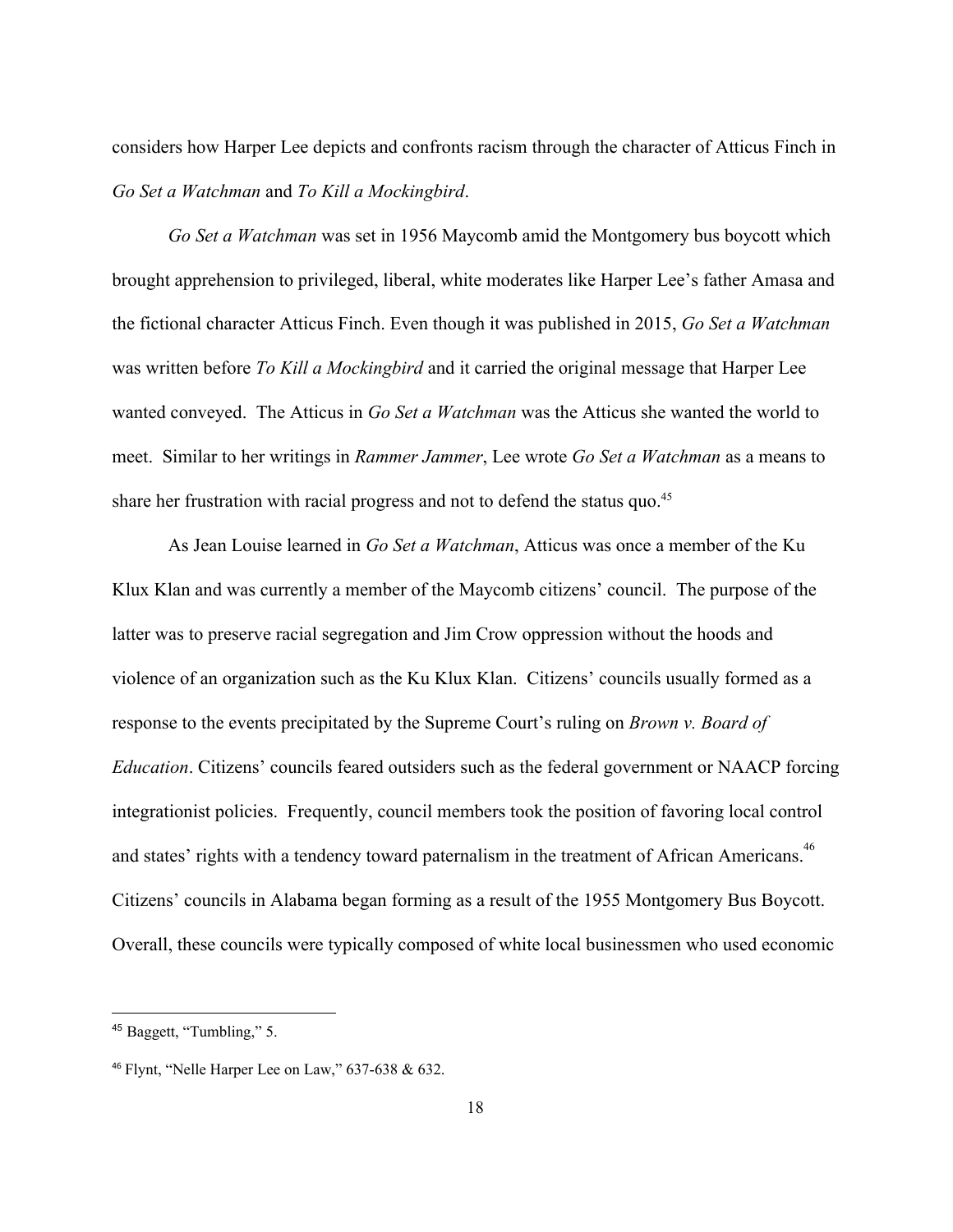considers how Harper Lee depicts and confronts racism through the character of Atticus Finch in *Go Set a Watchman* and *To Kill a Mockingbird*.

*Go Set a Watchman* was set in 1956 Maycomb amid the Montgomery bus boycott which brought apprehension to privileged, liberal, white moderates like Harper Lee's father Amasa and the fictional character Atticus Finch. Even though it was published in 2015, *Go Set a Watchman* was written before *To Kill a Mockingbird* and it carried the original message that Harper Lee wanted conveyed. The Atticus in *Go Set a Watchman* was the Atticus she wanted the world to meet. Similar to her writings in *Rammer Jammer*, Lee wrote *Go Set a Watchman* as a means to share her frustration with racial progress and not to defend the status quo.<sup>45</sup>

As Jean Louise learned in *Go Set a Watchman*, Atticus was once a member of the Ku Klux Klan and was currently a member of the Maycomb citizens' council. The purpose of the latter was to preserve racial segregation and Jim Crow oppression without the hoods and violence of an organization such as the Ku Klux Klan. Citizens' councils usually formed as a response to the events precipitated by the Supreme Court's ruling on *Brown v. Board of Education*. Citizens' councils feared outsiders such as the federal government or NAACP forcing integrationist policies. Frequently, council members took the position of favoring local control and states' rights with a tendency toward paternalism in the treatment of African Americans.<sup>46</sup> Citizens' councils in Alabama began forming as a result of the 1955 Montgomery Bus Boycott. Overall, these councils were typically composed of white local businessmen who used economic

<sup>45</sup> Baggett, "Tumbling," 5.

<sup>46</sup> Flynt, "Nelle Harper Lee on Law," 637-638 & 632.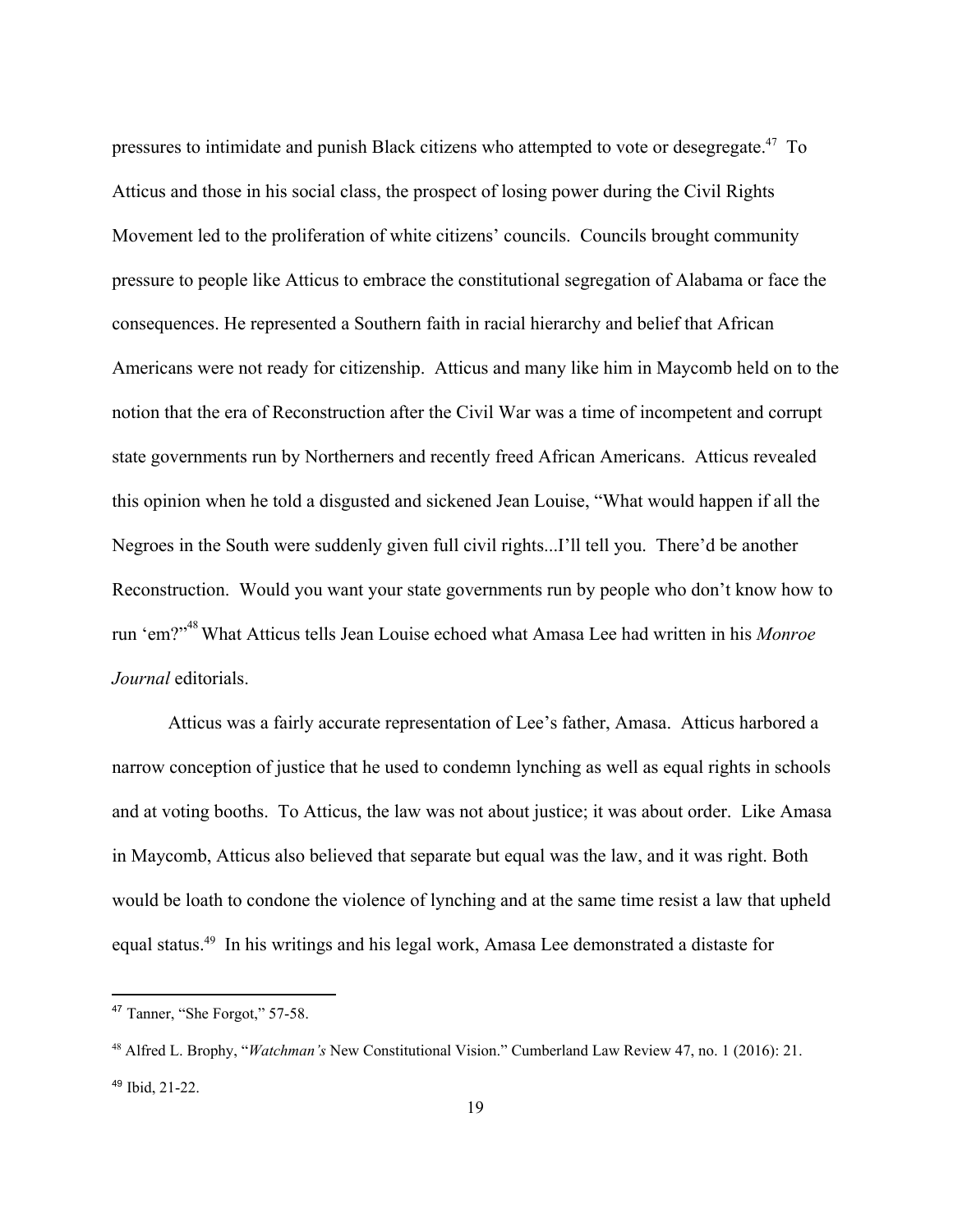pressures to intimidate and punish Black citizens who attempted to vote or desegregate.<sup>47</sup> To Atticus and those in his social class, the prospect of losing power during the Civil Rights Movement led to the proliferation of white citizens' councils. Councils brought community pressure to people like Atticus to embrace the constitutional segregation of Alabama or face the consequences. He represented a Southern faith in racial hierarchy and belief that African Americans were not ready for citizenship. Atticus and many like him in Maycomb held on to the notion that the era of Reconstruction after the Civil War was a time of incompetent and corrupt state governments run by Northerners and recently freed African Americans. Atticus revealed this opinion when he told a disgusted and sickened Jean Louise, "What would happen if all the Negroes in the South were suddenly given full civil rights...I'll tell you. There'd be another Reconstruction. Would you want your state governments run by people who don't know how to run 'em?" What Atticus tells Jean Louise echoed what Amasa Lee had written in his *Monroe* <sup>48</sup> *Journal* editorials.

Atticus was a fairly accurate representation of Lee's father, Amasa. Atticus harbored a narrow conception of justice that he used to condemn lynching as well as equal rights in schools and at voting booths. To Atticus, the law was not about justice; it was about order. Like Amasa in Maycomb, Atticus also believed that separate but equal was the law, and it was right. Both would be loath to condone the violence of lynching and at the same time resist a law that upheld equal status.<sup>49</sup> In his writings and his legal work, Amasa Lee demonstrated a distaste for

<sup>47</sup> Tanner, "She Forgot," 57-58.

<sup>48</sup> Alfred L. Brophy, "*Watchman's* New Constitutional Vision." Cumberland Law Review 47, no. 1 (2016): 21. <sup>49</sup> Ibid, 21-22.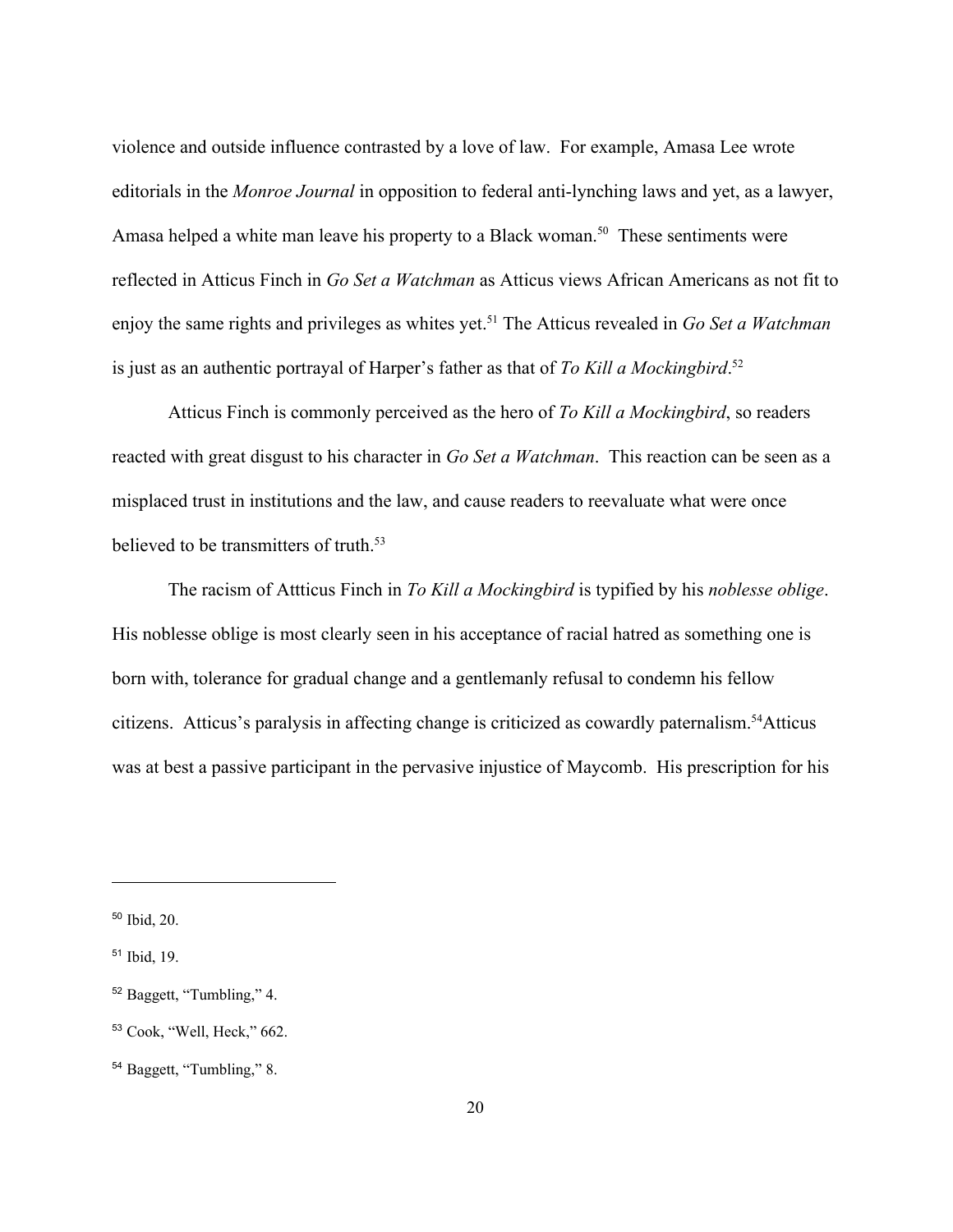violence and outside influence contrasted by a love of law. For example, Amasa Lee wrote editorials in the *Monroe Journal* in opposition to federal anti-lynching laws and yet, as a lawyer, Amasa helped a white man leave his property to a Black woman.<sup>50</sup> These sentiments were reflected in Atticus Finch in *Go Set a Watchman* as Atticus views African Americans as not fit to enjoy the same rights and privileges as whites yet.<sup>51</sup> The Atticus revealed in *Go Set a Watchman* is just as an authentic portrayal of Harper's father as that of *To Kill a Mockingbird*. 52

Atticus Finch is commonly perceived as the hero of *To Kill a Mockingbird*, so readers reacted with great disgust to his character in *Go Set a Watchman*. This reaction can be seen as a misplaced trust in institutions and the law, and cause readers to reevaluate what were once believed to be transmitters of truth.<sup>53</sup>

The racism of Attticus Finch in *To Kill a Mockingbird* is typified by his *noblesse oblige*. His noblesse oblige is most clearly seen in his acceptance of racial hatred as something one is born with, tolerance for gradual change and a gentlemanly refusal to condemn his fellow citizens. Atticus's paralysis in affecting change is criticized as cowardly paternalism.<sup>54</sup>Atticus was at best a passive participant in the pervasive injustice of Maycomb. His prescription for his

<sup>50</sup> Ibid, 20.

<sup>51</sup> Ibid, 19.

<sup>52</sup> Baggett, "Tumbling," 4.

<sup>53</sup> Cook, "Well, Heck," 662.

<sup>54</sup> Baggett, "Tumbling," 8.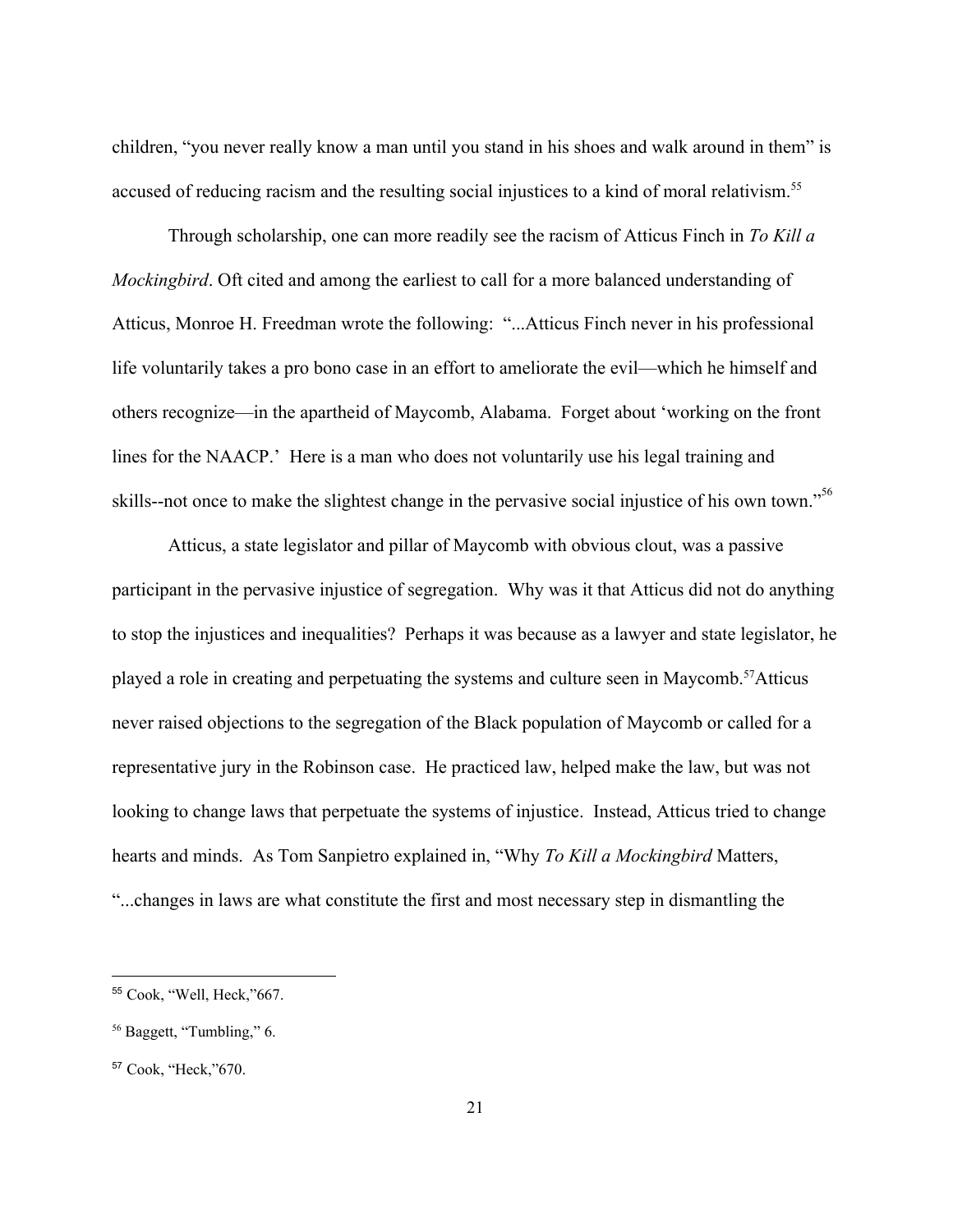children, "you never really know a man until you stand in his shoes and walk around in them" is accused of reducing racism and the resulting social injustices to a kind of moral relativism.<sup>55</sup>

Through scholarship, one can more readily see the racism of Atticus Finch in *To Kill a Mockingbird*. Oft cited and among the earliest to call for a more balanced understanding of Atticus, Monroe H. Freedman wrote the following: "...Atticus Finch never in his professional life voluntarily takes a pro bono case in an effort to ameliorate the evil—which he himself and others recognize—in the apartheid of Maycomb, Alabama. Forget about 'working on the front lines for the NAACP.' Here is a man who does not voluntarily use his legal training and skills--not once to make the slightest change in the pervasive social injustice of his own town."<sup>56</sup>

Atticus, a state legislator and pillar of Maycomb with obvious clout, was a passive participant in the pervasive injustice of segregation. Why was it that Atticus did not do anything to stop the injustices and inequalities? Perhaps it was because as a lawyer and state legislator, he played a role in creating and perpetuating the systems and culture seen in Maycomb.<sup>57</sup>Atticus never raised objections to the segregation of the Black population of Maycomb or called for a representative jury in the Robinson case. He practiced law, helped make the law, but was not looking to change laws that perpetuate the systems of injustice. Instead, Atticus tried to change hearts and minds. As Tom Sanpietro explained in, "Why *To Kill a Mockingbird* Matters, "...changes in laws are what constitute the first and most necessary step in dismantling the

<sup>55</sup> Cook, "Well, Heck,"667.

<sup>56</sup> Baggett, "Tumbling," 6.

<sup>57</sup> Cook, "Heck,"670.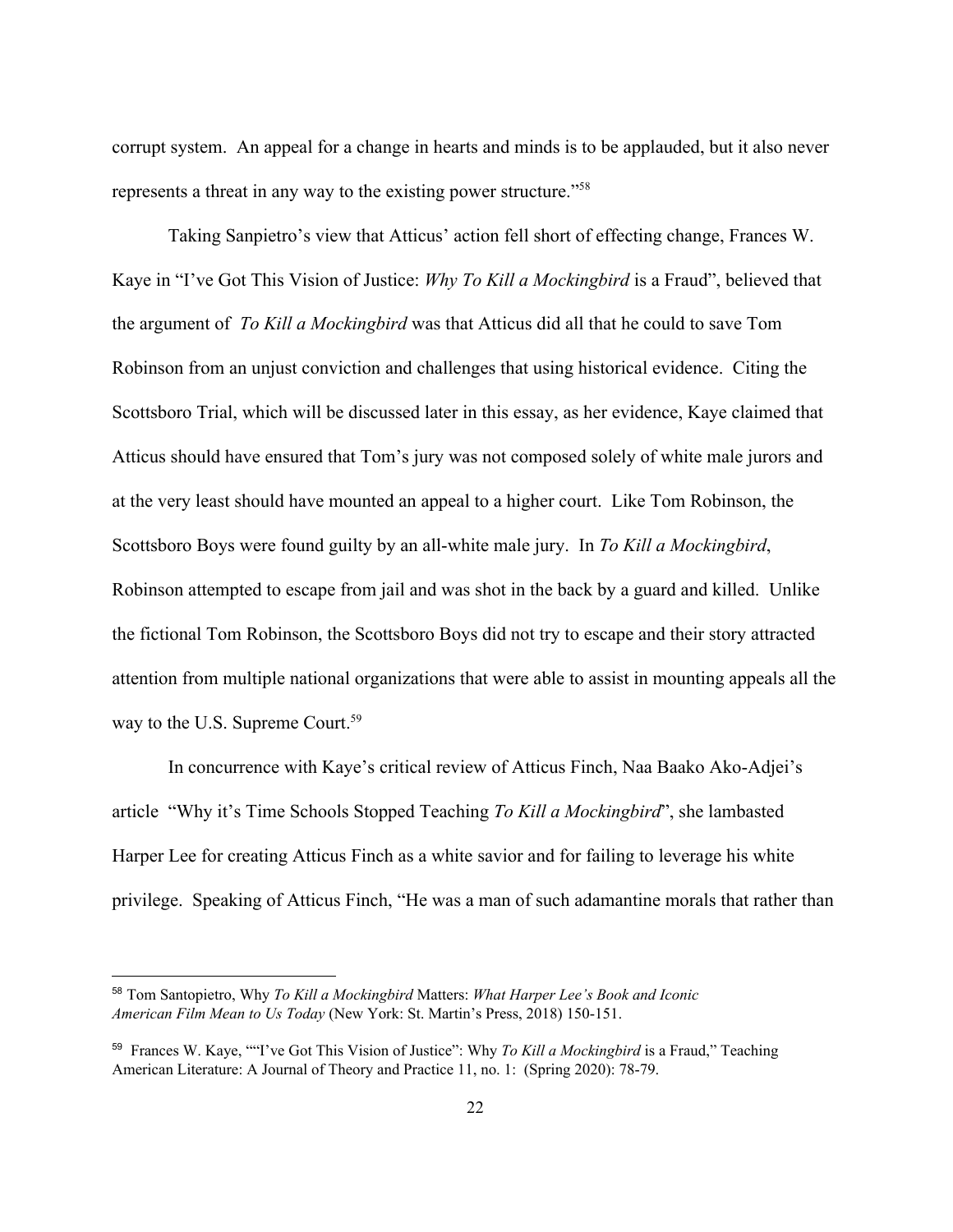corrupt system. An appeal for a change in hearts and minds is to be applauded, but it also never represents a threat in any way to the existing power structure."<sup>58</sup>

Taking Sanpietro's view that Atticus' action fell short of effecting change, Frances W. Kaye in "I've Got This Vision of Justice: *Why To Kill a Mockingbird* is a Fraud", believed that the argument of *To Kill a Mockingbird* was that Atticus did all that he could to save Tom Robinson from an unjust conviction and challenges that using historical evidence. Citing the Scottsboro Trial, which will be discussed later in this essay, as her evidence, Kaye claimed that Atticus should have ensured that Tom's jury was not composed solely of white male jurors and at the very least should have mounted an appeal to a higher court. Like Tom Robinson, the Scottsboro Boys were found guilty by an all-white male jury. In *To Kill a Mockingbird*, Robinson attempted to escape from jail and was shot in the back by a guard and killed. Unlike the fictional Tom Robinson, the Scottsboro Boys did not try to escape and their story attracted attention from multiple national organizations that were able to assist in mounting appeals all the way to the U.S. Supreme Court.<sup>59</sup>

In concurrence with Kaye's critical review of Atticus Finch, Naa Baako Ako-Adjei's article "Why it's Time Schools Stopped Teaching *To Kill a Mockingbird*", she lambasted Harper Lee for creating Atticus Finch as a white savior and for failing to leverage his white privilege. Speaking of Atticus Finch, "He was a man of such adamantine morals that rather than

<sup>58</sup> Tom Santopietro, Why *To Kill a Mockingbird* Matters: *What Harper Lee's Book and Iconic American Film Mean to Us Today* (New York: St. Martin's Press, 2018) 150-151.

<sup>59</sup> Frances W. Kaye, ""I've Got This Vision of Justice": Why *To Kill a Mockingbird* is a Fraud," Teaching American Literature: A Journal of Theory and Practice 11, no. 1: (Spring 2020): 78-79.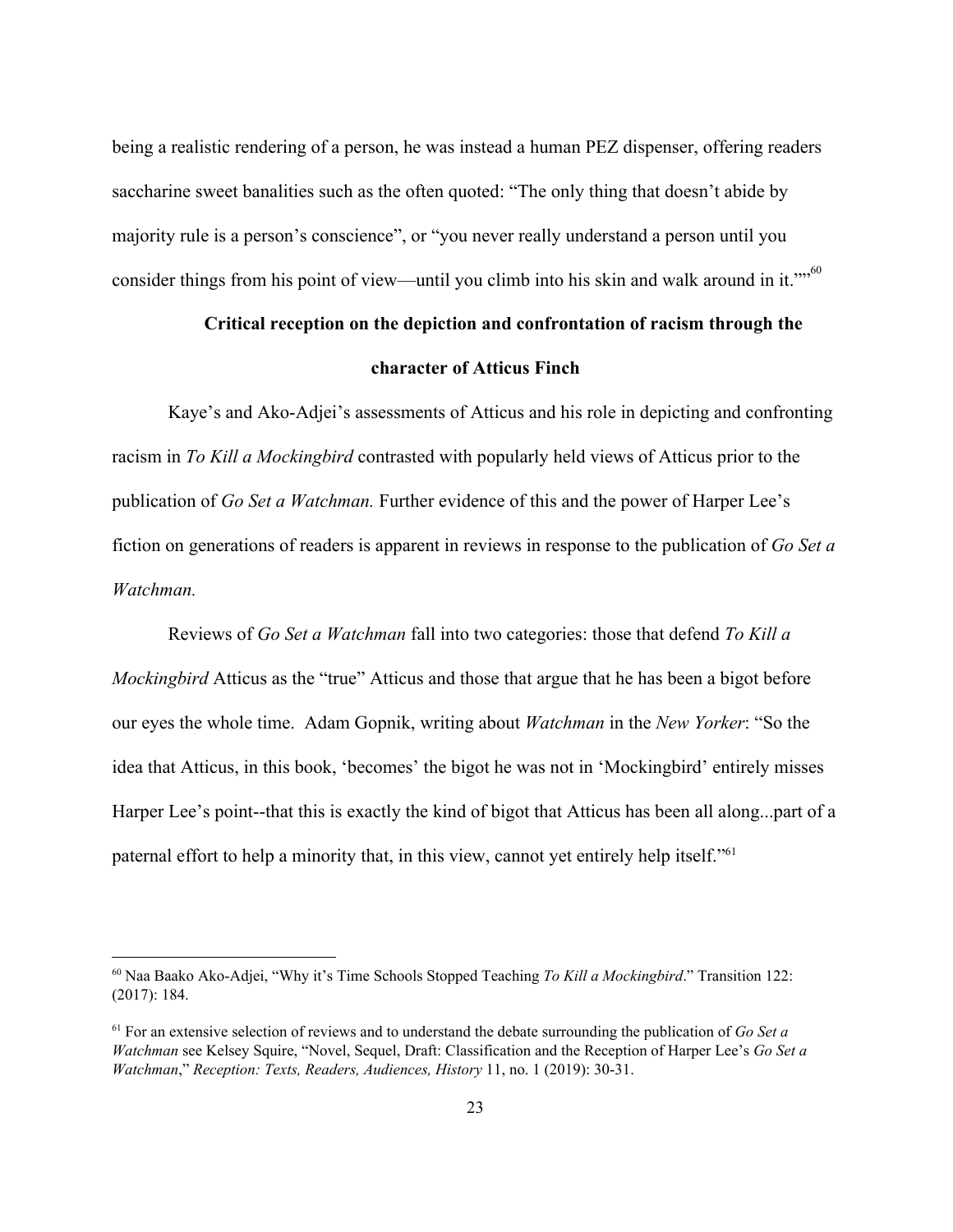being a realistic rendering of a person, he was instead a human PEZ dispenser, offering readers saccharine sweet banalities such as the often quoted: "The only thing that doesn't abide by majority rule is a person's conscience", or "you never really understand a person until you consider things from his point of view—until you climb into his skin and walk around in it.""<sup>60</sup>

## **Critical reception on the depiction and confrontation of racism through the character of Atticus Finch**

Kaye's and Ako-Adjei's assessments of Atticus and his role in depicting and confronting racism in *To Kill a Mockingbird* contrasted with popularly held views of Atticus prior to the publication of *Go Set a Watchman.* Further evidence of this and the power of Harper Lee's fiction on generations of readers is apparent in reviews in response to the publication of *Go Set a Watchman.*

Reviews of *Go Set a Watchman* fall into two categories: those that defend *To Kill a Mockingbird* Atticus as the "true" Atticus and those that argue that he has been a bigot before our eyes the whole time. Adam Gopnik, writing about *Watchman* in the *New Yorker*: "So the idea that Atticus, in this book, 'becomes' the bigot he was not in 'Mockingbird' entirely misses Harper Lee's point--that this is exactly the kind of bigot that Atticus has been all along...part of a paternal effort to help a minority that, in this view, cannot yet entirely help itself."<sup>61</sup>

<sup>60</sup> Naa Baako Ako-Adjei, "Why it's Time Schools Stopped Teaching *To Kill a Mockingbird*." Transition 122: (2017): 184.

<sup>61</sup> For an extensive selection of reviews and to understand the debate surrounding the publication of *Go Set a Watchman* see Kelsey Squire, "Novel, Sequel, Draft: Classification and the Reception of Harper Lee's *Go Set a Watchman*," *Reception: Texts, Readers, Audiences, History* 11, no. 1 (2019): 30-31.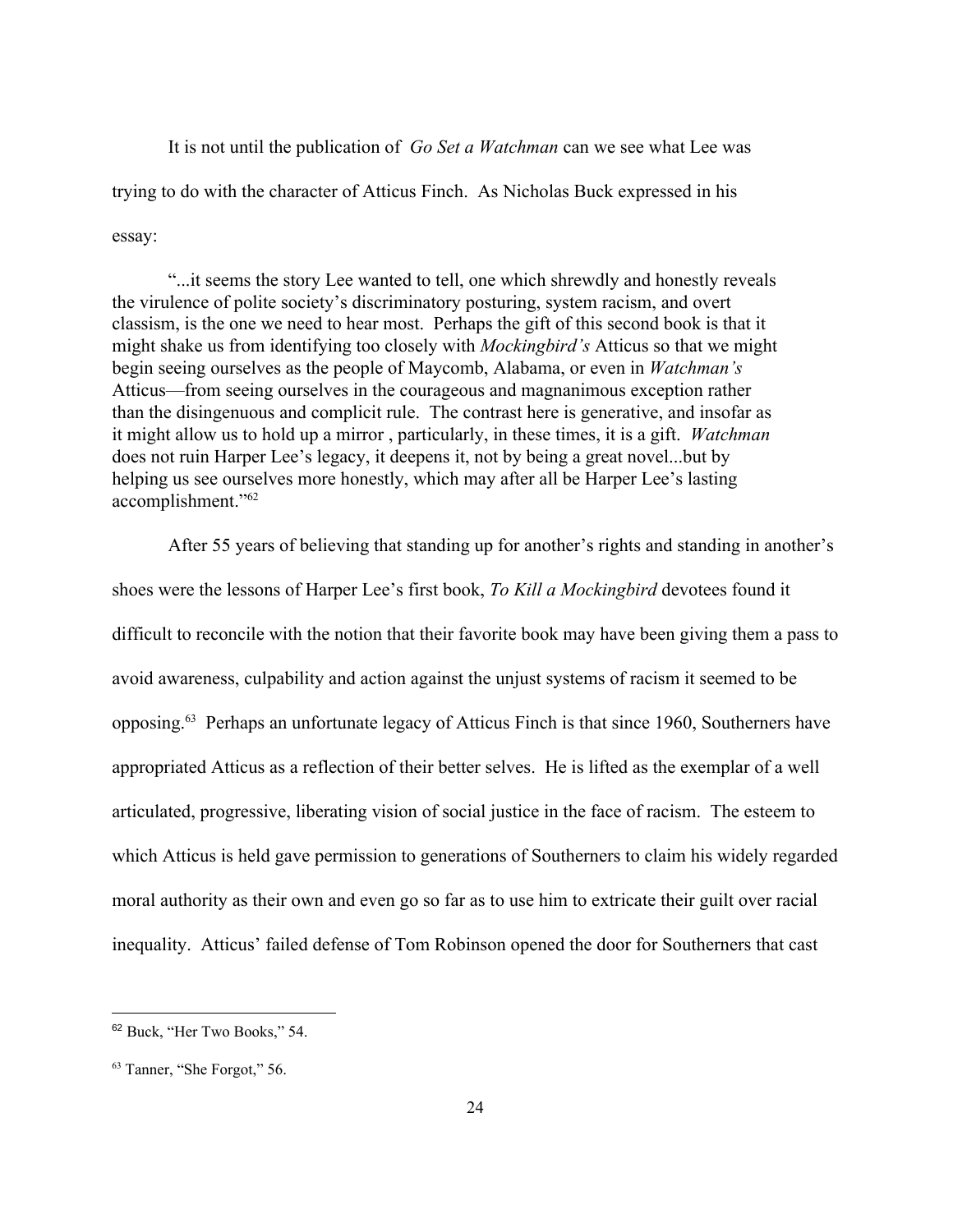It is not until the publication of *Go Set a Watchman* can we see what Lee was trying to do with the character of Atticus Finch. As Nicholas Buck expressed in his essay:

"...it seems the story Lee wanted to tell, one which shrewdly and honestly reveals the virulence of polite society's discriminatory posturing, system racism, and overt classism, is the one we need to hear most. Perhaps the gift of this second book is that it might shake us from identifying too closely with *Mockingbird's* Atticus so that we might begin seeing ourselves as the people of Maycomb, Alabama, or even in *Watchman's* Atticus—from seeing ourselves in the courageous and magnanimous exception rather than the disingenuous and complicit rule. The contrast here is generative, and insofar as it might allow us to hold up a mirror , particularly, in these times, it is a gift. *Watchman* does not ruin Harper Lee's legacy, it deepens it, not by being a great novel...but by helping us see ourselves more honestly, which may after all be Harper Lee's lasting accomplishment."<sup>62</sup>

After 55 years of believing that standing up for another's rights and standing in another's shoes were the lessons of Harper Lee's first book, *To Kill a Mockingbird* devotees found it difficult to reconcile with the notion that their favorite book may have been giving them a pass to avoid awareness, culpability and action against the unjust systems of racism it seemed to be opposing.<sup>63</sup> Perhaps an unfortunate legacy of Atticus Finch is that since 1960, Southerners have appropriated Atticus as a reflection of their better selves. He is lifted as the exemplar of a well articulated, progressive, liberating vision of social justice in the face of racism. The esteem to which Atticus is held gave permission to generations of Southerners to claim his widely regarded moral authority as their own and even go so far as to use him to extricate their guilt over racial inequality. Atticus' failed defense of Tom Robinson opened the door for Southerners that cast

<sup>62</sup> Buck, "Her Two Books," 54.

<sup>63</sup> Tanner, "She Forgot," 56.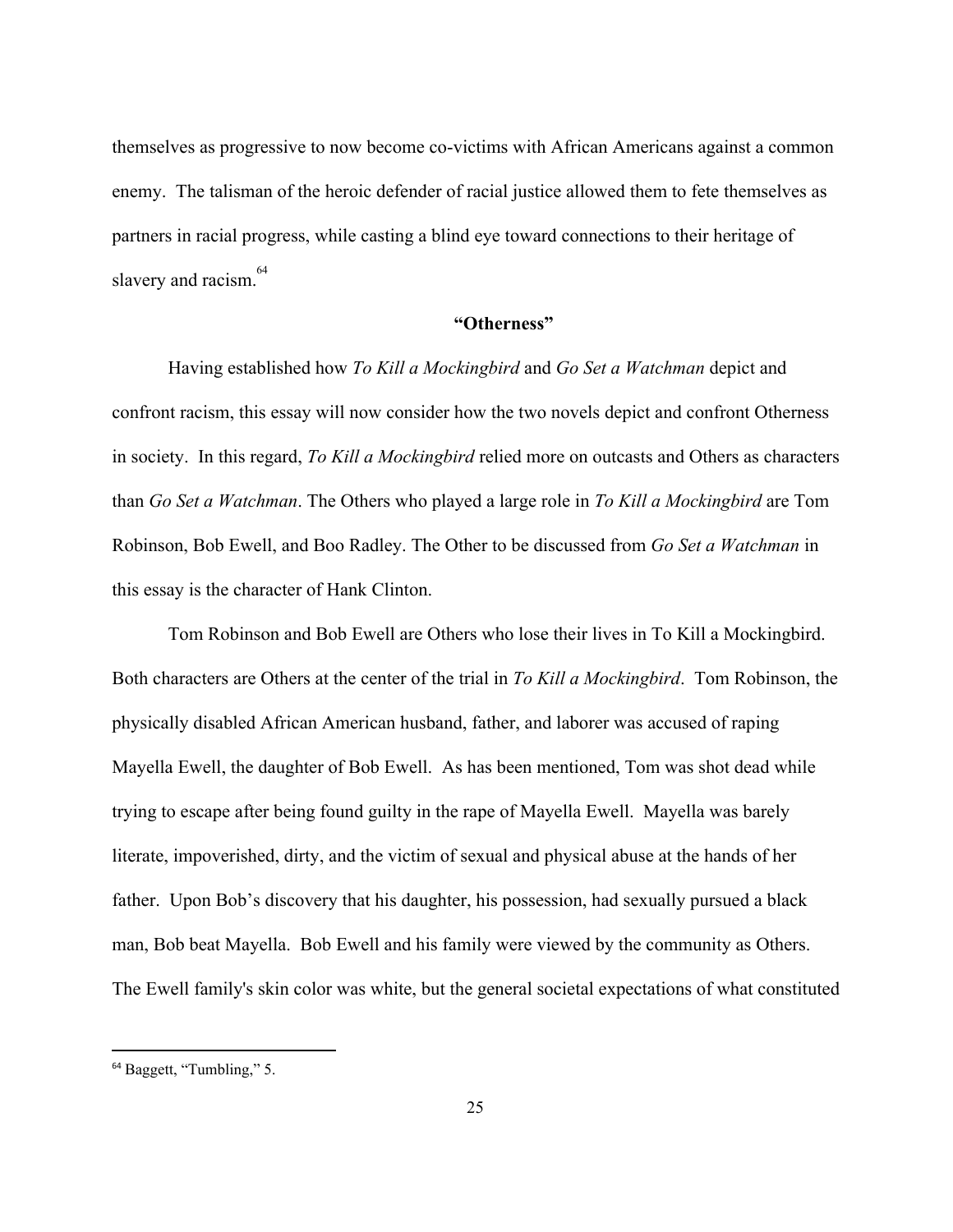themselves as progressive to now become co-victims with African Americans against a common enemy. The talisman of the heroic defender of racial justice allowed them to fete themselves as partners in racial progress, while casting a blind eye toward connections to their heritage of slavery and racism.<sup>64</sup>

#### **"Otherness"**

Having established how *To Kill a Mockingbird* and *Go Set a Watchman* depict and confront racism, this essay will now consider how the two novels depict and confront Otherness in society. In this regard, *To Kill a Mockingbird* relied more on outcasts and Others as characters than *Go Set a Watchman*. The Others who played a large role in *To Kill a Mockingbird* are Tom Robinson, Bob Ewell, and Boo Radley. The Other to be discussed from *Go Set a Watchman* in this essay is the character of Hank Clinton.

Tom Robinson and Bob Ewell are Others who lose their lives in To Kill a Mockingbird. Both characters are Others at the center of the trial in *To Kill a Mockingbird*. Tom Robinson, the physically disabled African American husband, father, and laborer was accused of raping Mayella Ewell, the daughter of Bob Ewell. As has been mentioned, Tom was shot dead while trying to escape after being found guilty in the rape of Mayella Ewell. Mayella was barely literate, impoverished, dirty, and the victim of sexual and physical abuse at the hands of her father. Upon Bob's discovery that his daughter, his possession, had sexually pursued a black man, Bob beat Mayella. Bob Ewell and his family were viewed by the community as Others. The Ewell family's skin color was white, but the general societal expectations of what constituted

<sup>64</sup> Baggett, "Tumbling," 5.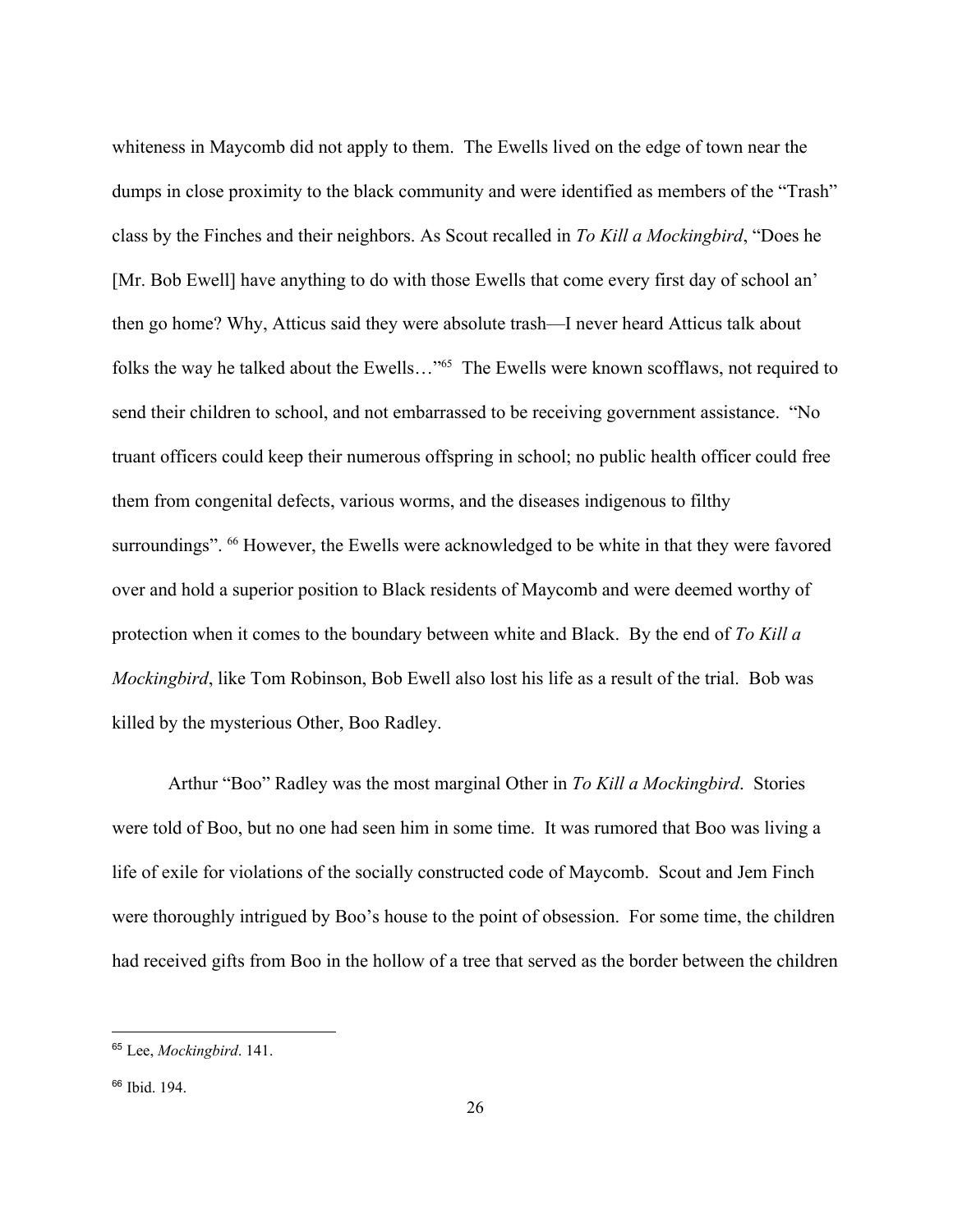whiteness in Maycomb did not apply to them. The Ewells lived on the edge of town near the dumps in close proximity to the black community and were identified as members of the "Trash" class by the Finches and their neighbors. As Scout recalled in *To Kill a Mockingbird*, "Does he [Mr. Bob Ewell] have anything to do with those Ewells that come every first day of school an' then go home? Why, Atticus said they were absolute trash—I never heard Atticus talk about folks the way he talked about the Ewells..."<sup>65</sup> The Ewells were known scofflaws, not required to send their children to school, and not embarrassed to be receiving government assistance. "No truant officers could keep their numerous offspring in school; no public health officer could free them from congenital defects, various worms, and the diseases indigenous to filthy surroundings". <sup>66</sup> However, the Ewells were acknowledged to be white in that they were favored over and hold a superior position to Black residents of Maycomb and were deemed worthy of protection when it comes to the boundary between white and Black. By the end of *To Kill a Mockingbird*, like Tom Robinson, Bob Ewell also lost his life as a result of the trial. Bob was killed by the mysterious Other, Boo Radley.

Arthur "Boo" Radley was the most marginal Other in *To Kill a Mockingbird*. Stories were told of Boo, but no one had seen him in some time. It was rumored that Boo was living a life of exile for violations of the socially constructed code of Maycomb. Scout and Jem Finch were thoroughly intrigued by Boo's house to the point of obsession. For some time, the children had received gifts from Boo in the hollow of a tree that served as the border between the children

<sup>65</sup> Lee, *Mockingbird*. 141.

<sup>66</sup> Ibid. 194.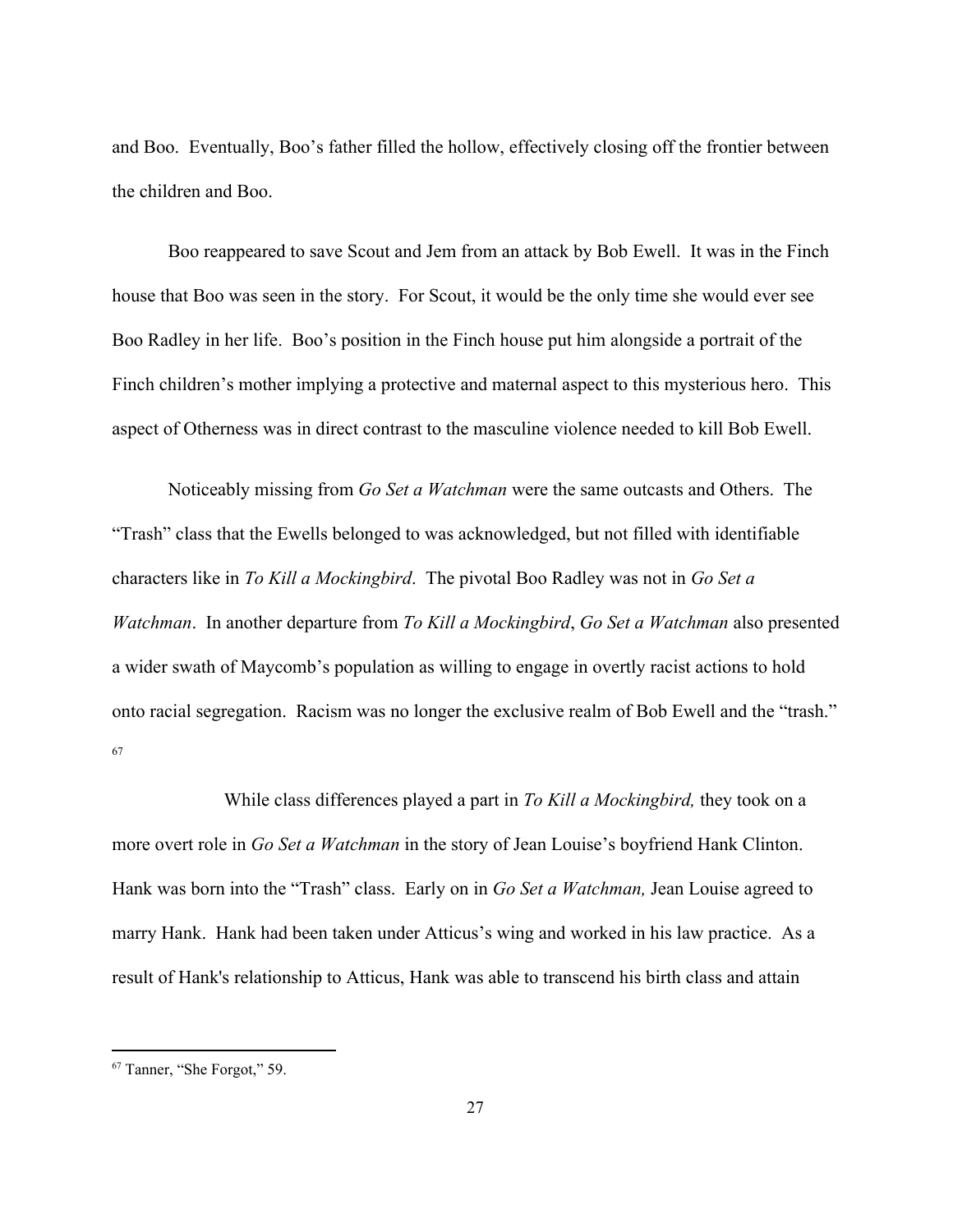and Boo. Eventually, Boo's father filled the hollow, effectively closing off the frontier between the children and Boo.

Boo reappeared to save Scout and Jem from an attack by Bob Ewell. It was in the Finch house that Boo was seen in the story. For Scout, it would be the only time she would ever see Boo Radley in her life. Boo's position in the Finch house put him alongside a portrait of the Finch children's mother implying a protective and maternal aspect to this mysterious hero. This aspect of Otherness was in direct contrast to the masculine violence needed to kill Bob Ewell.

Noticeably missing from *Go Set a Watchman* were the same outcasts and Others. The "Trash" class that the Ewells belonged to was acknowledged, but not filled with identifiable characters like in *To Kill a Mockingbird*. The pivotal Boo Radley was not in *Go Set a Watchman*. In another departure from *To Kill a Mockingbird*, *Go Set a Watchman* also presented a wider swath of Maycomb's population as willing to engage in overtly racist actions to hold onto racial segregation. Racism was no longer the exclusive realm of Bob Ewell and the "trash." 67

While class differences played a part in *To Kill a Mockingbird,* they took on a more overt role in *Go Set a Watchman* in the story of Jean Louise's boyfriend Hank Clinton. Hank was born into the "Trash" class. Early on in *Go Set a Watchman,* Jean Louise agreed to marry Hank. Hank had been taken under Atticus's wing and worked in his law practice. As a result of Hank's relationship to Atticus, Hank was able to transcend his birth class and attain

<sup>67</sup> Tanner, "She Forgot," 59.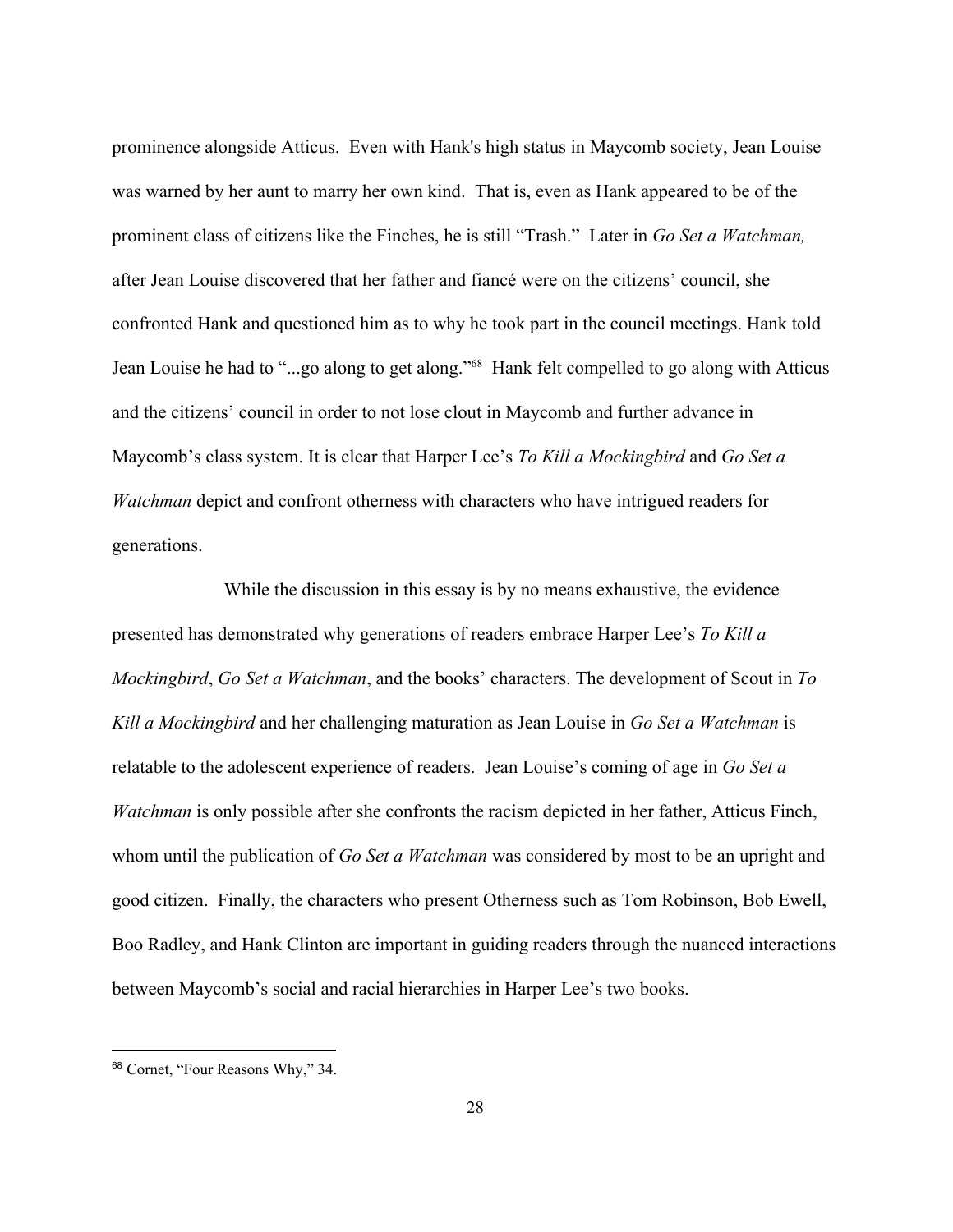prominence alongside Atticus. Even with Hank's high status in Maycomb society, Jean Louise was warned by her aunt to marry her own kind. That is, even as Hank appeared to be of the prominent class of citizens like the Finches, he is still "Trash." Later in *Go Set a Watchman,* after Jean Louise discovered that her father and fiancé were on the citizens' council, she confronted Hank and questioned him as to why he took part in the council meetings. Hank told Jean Louise he had to "...go along to get along."<sup>68</sup> Hank felt compelled to go along with Atticus and the citizens' council in order to not lose clout in Maycomb and further advance in Maycomb's class system. It is clear that Harper Lee's *To Kill a Mockingbird* and *Go Set a Watchman* depict and confront otherness with characters who have intrigued readers for generations.

While the discussion in this essay is by no means exhaustive, the evidence presented has demonstrated why generations of readers embrace Harper Lee's *To Kill a Mockingbird*, *Go Set a Watchman*, and the books' characters. The development of Scout in *To Kill a Mockingbird* and her challenging maturation as Jean Louise in *Go Set a Watchman* is relatable to the adolescent experience of readers. Jean Louise's coming of age in *Go Set a Watchman* is only possible after she confronts the racism depicted in her father, Atticus Finch, whom until the publication of *Go Set a Watchman* was considered by most to be an upright and good citizen. Finally, the characters who present Otherness such as Tom Robinson, Bob Ewell, Boo Radley, and Hank Clinton are important in guiding readers through the nuanced interactions between Maycomb's social and racial hierarchies in Harper Lee's two books.

<sup>68</sup> Cornet, "Four Reasons Why," 34.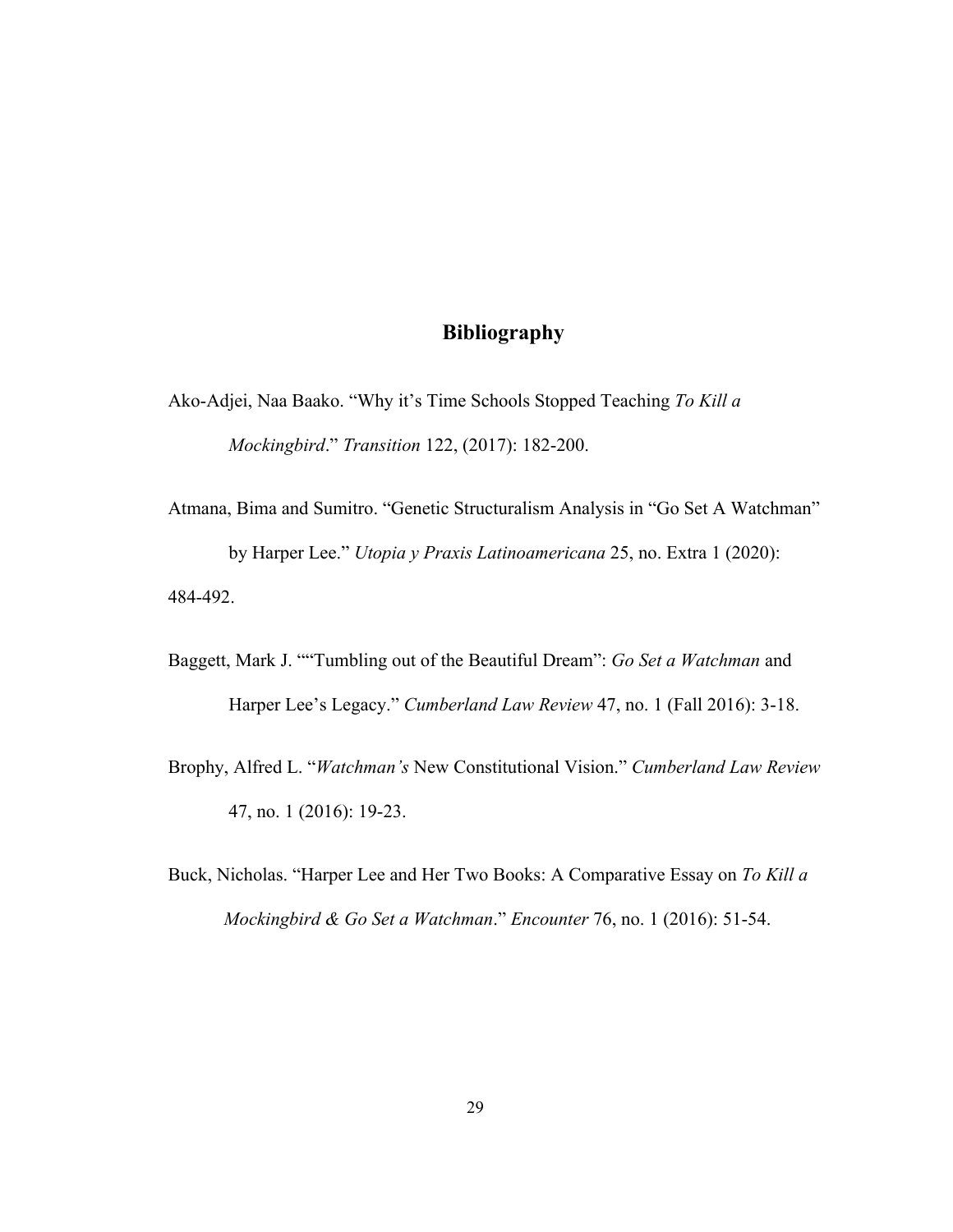## **Bibliography**

Ako-Adjei, Naa Baako. "Why it's Time Schools Stopped Teaching *To Kill a Mockingbird*." *Transition* 122, (2017): 182-200.

- Atmana, Bima and Sumitro. "Genetic Structuralism Analysis in "Go Set A Watchman" by Harper Lee." *Utopia y Praxis Latinoamericana* 25, no. Extra 1 (2020): 484-492.
- Baggett, Mark J. ""Tumbling out of the Beautiful Dream": *Go Set a Watchman* and Harper Lee's Legacy." *Cumberland Law Review* 47, no. 1 (Fall 2016): 3-18.
- Brophy, Alfred L. "*Watchman's* New Constitutional Vision." *Cumberland Law Review* 47, no. 1 (2016): 19-23.
- Buck, Nicholas. "Harper Lee and Her Two Books: A Comparative Essay on *To Kill a Mockingbird & Go Set a Watchman*." *Encounter* 76, no. 1 (2016): 51-54.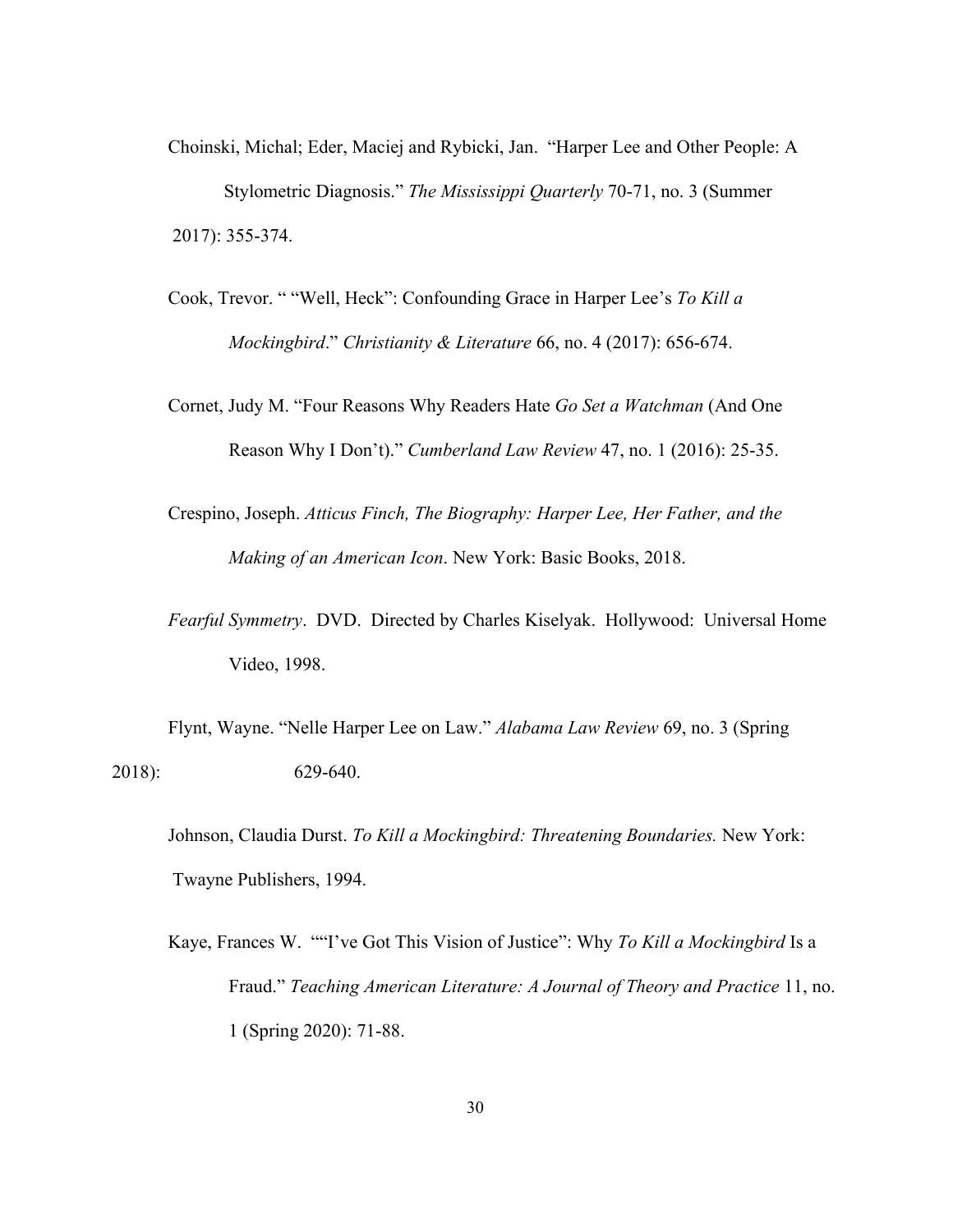- Choinski, Michal; Eder, Maciej and Rybicki, Jan. "Harper Lee and Other People: A Stylometric Diagnosis." *The Mississippi Quarterly* 70-71, no. 3 (Summer 2017): 355-374.
- Cook, Trevor. " "Well, Heck": Confounding Grace in Harper Lee's *To Kill a Mockingbird*." *Christianity & Literature* 66, no. 4 (2017): 656-674.
- Cornet, Judy M. "Four Reasons Why Readers Hate *Go Set a Watchman* (And One Reason Why I Don't)." *Cumberland Law Review* 47, no. 1 (2016): 25-35.
- Crespino, Joseph. *Atticus Finch, The Biography: Harper Lee, Her Father, and the Making of an American Icon*. New York: Basic Books, 2018.
- *Fearful Symmetry*. DVD. Directed by Charles Kiselyak. Hollywood: Universal Home Video, 1998.

Flynt, Wayne. "Nelle Harper Lee on Law." *Alabama Law Review* 69, no. 3 (Spring 2018): 629-640.

Kaye, Frances W. ""I've Got This Vision of Justice": Why *To Kill a Mockingbird* Is a Fraud." *Teaching American Literature: A Journal of Theory and Practice* 11, no. 1 (Spring 2020): 71-88.

Johnson, Claudia Durst. *To Kill a Mockingbird: Threatening Boundaries.* New York: Twayne Publishers, 1994.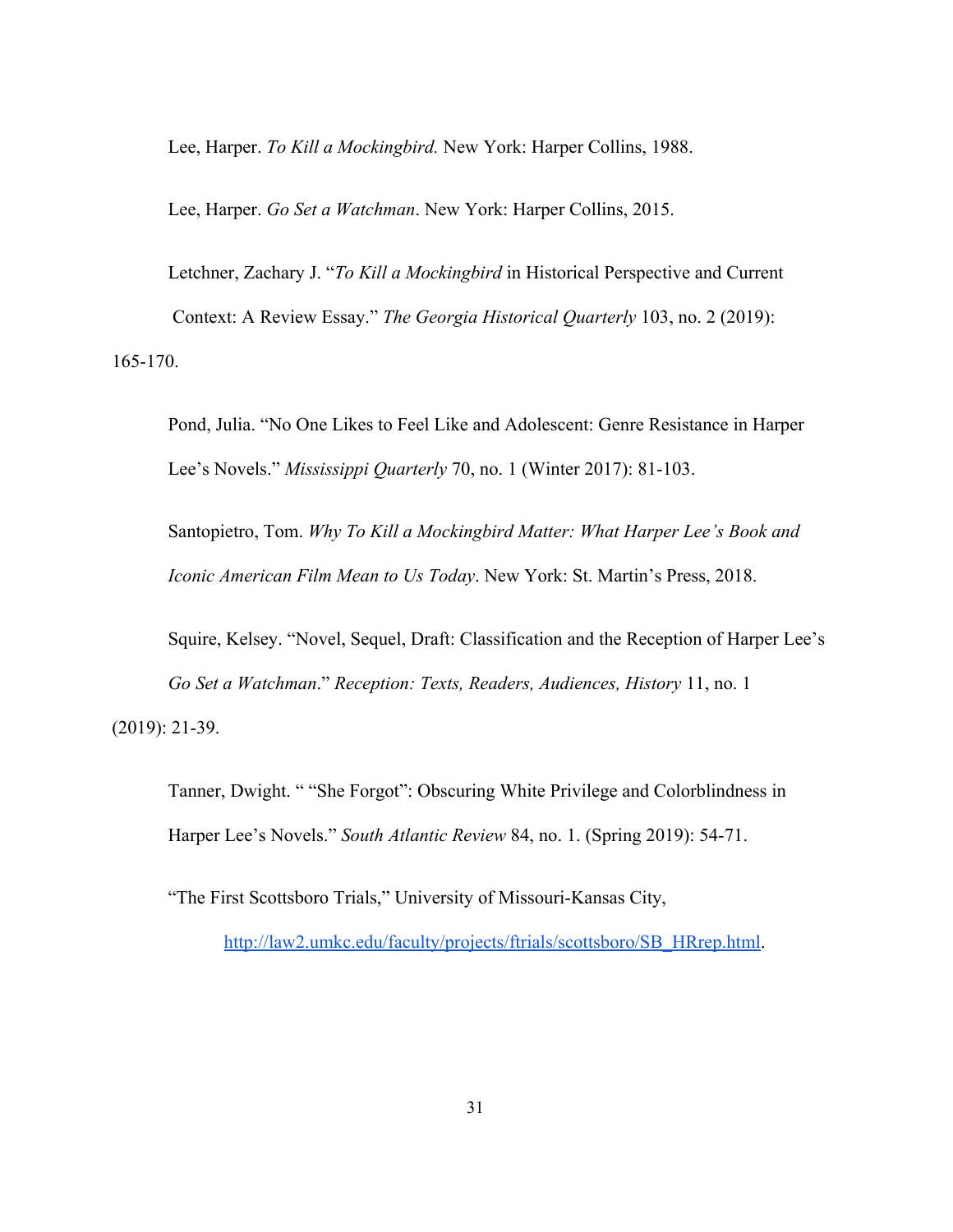Lee, Harper. *To Kill a Mockingbird.* New York: Harper Collins, 1988.

Lee, Harper. *Go Set a Watchman*. New York: Harper Collins, 2015.

Letchner, Zachary J. "*To Kill a Mockingbird* in Historical Perspective and Current Context: A Review Essay." *The Georgia Historical Quarterly* 103, no. 2 (2019): 165-170.

Pond, Julia. "No One Likes to Feel Like and Adolescent: Genre Resistance in Harper Lee's Novels." *Mississippi Quarterly* 70, no. 1 (Winter 2017): 81-103.

Santopietro, Tom. *Why To Kill a Mockingbird Matter: What Harper Lee's Book and Iconic American Film Mean to Us Today*. New York: St. Martin's Press, 2018.

Squire, Kelsey. "Novel, Sequel, Draft: Classification and the Reception of Harper Lee's *Go Set a Watchman*." *Reception: Texts, Readers, Audiences, History* 11, no. 1 (2019): 21-39.

Tanner, Dwight. " "She Forgot": Obscuring White Privilege and Colorblindness in Harper Lee's Novels." *South Atlantic Review* 84, no. 1. (Spring 2019): 54-71.

"The First Scottsboro Trials," University of Missouri-Kansas City,

[http://law2.umkc.edu/faculty/projects/ftrials/scottsboro/SB\\_HRrep.html.](http://law2.umkc.edu/faculty/projects/ftrials/scottsboro/SB_HRrep.html)